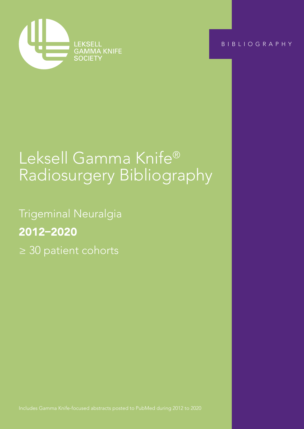

BIBLIOGRAPHY

Trigeminal Neuralgia ≥ 30 patient cohorts

# Leksell Gamma Knife® Radiosurgery Bibliography

Trigeminal Neuralgia 2012–2020 ≥ 30 patient cohorts

Includes Gamma Knife-focused abstracts posted to PubMed during 2012 to 2020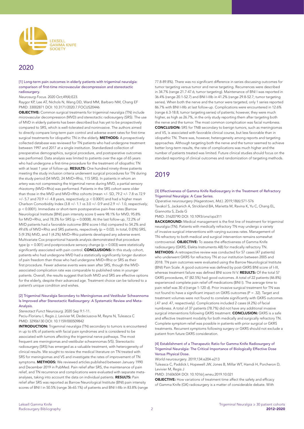

## 2020

[1] Long-term pain outcomes in elderly patients with trigeminal neuralgia: comparison of first-time microvascular decompression and stereotactic radiosurgery.

#### *Neurosurg Focus*. 2020 Oct;49(4):E23.

Raygor KP, Lee AT, Nichols N, Wang DD, Ward MM, Barbaro NM, Chang EF PMID: 33002871 DOI: 10.3171/2020.7.FOCUS20446

OBJECTIVE: Common surgical treatments for trigeminal neuralgia (TN) include microvascular decompression (MVD) and stereotactic radiosurgery (SRS). The use of MVD in elderly patients has been described but has yet to be prospectively compared to SRS, which is well-tolerated and noninvasive. The authors aimed to directly compare long-term pain control and adverse event rates for first-time surgical treatments for idiopathic TN in the elderly. **METHODS:** A prospectively collected database was reviewed for TN patients who had undergone treatment between 1997 and 2017 at a single institution. Standardized collection of preoperative demographics, surgical procedure, and postoperative outcomes was performed. Data analysis was limited to patients over the age of 65 years who had undergone a first-time procedure for the treatment of idiopathic TN with at least 1 year of follow-up. RESULTS: One hundred ninety-three patients meeting the study inclusion criteria underwent surgical procedures for TN during the study period (54 MVD, 24 MVD+Rhiz, 115 SRS). In patients in whom an artery was not compressing the trigeminal nerve during MVD, a partial sensory rhizotomy (MVD+Rhiz) was performed. Patients in the SRS cohort were older than those in the MVD and MVD+Rhiz cohorts (mean +/- SD, 79.2 +/- 7.8 vs 72.9  $+/-$  5.7 and 70.9  $+/-$  4.8 years, respectively;  $p < 0.0001$ ) and had a higher mean Charlson Comorbidity Index (3.8 +/- 1.1 vs 3.0 +/- 0.9 and 2.9 +/- 1.0, respectively; p < 0.0001). Immediate or short-term postoperative pain-free rates (Barrow Neurological Institute [BNI] pain intensity score I) were 98.1% for MVD, 95.8% for MVD+Rhiz, and 78.3% for SRS ( $p = 0.0008$ ). At the last follow-up, 72.2% of MVD patients had a favorable outcome (BNI score I-IIIa) compared to 54.2% and 49.6% of MVD+Rhiz and SRS patients, respectively (p = 0.02). In total, 0 (0%) SRS, 5 (9.3%) MVD, and 1 (4.2%) MVD+Rhiz patients developed any adverse event. Multivariate Cox proportional hazards analysis demonstrated that procedure type ( $p = 0.001$ ) and postprocedure sensory change ( $p = 0.003$ ) were statistically significantly associated with pain control. **CONCLUSIONS:** In this study cohort, patients who had undergone MVD had a statistically significantly longer duration of pain freedom than those who had undergone MVD+Rhiz or SRS as their first procedure. Fewer adverse events were seen after SRS, though the MVDassociated complication rate was comparable to published rates in younger patients. Overall, the results suggest that both MVD and SRS are effective options for the elderly, despite their advanced age. Treatment choice can be tailored to a patient's unique condition and wishes.

#### [2] Trigeminal Neuralgia Secondary to Meningiomas and Vestibular Schwannoma Is Improved after Stereotactic Radiosurgery: A Systematic Review and Meta-Analysis.

*Stereotact Funct Neurosurg*. 2020 Sep 9:1-11.

Peciu-Florianu I, Regis J, Levivier M, Dedeciusova M, Reyns N, Tuleasca C PMID: 32906130 DOI: 10.1159/000509842

INTRODUCTION: Trigeminal neuralgia (TN) secondary to tumors is encountered in up to 6% of patients with facial pain syndromes and is considered to be associated with tumors affecting the trigeminal nerve pathways. The most frequent are meningiomas and vestibular schwannomas (VS). Stereotactic radiosurgery (SRS) has emerged as a valuable treatment, with heterogeneity of clinical results. We sought to review the medical literature on TN treated with SRS for meningiomas and VS and investigate the rates of improvement of TN symptoms. METHODS: We reviewed articles published between January 1990 and December 2019 in PubMed. Pain relief after SRS, the maintenance of pain relief, and TN recurrence and complications were evaluated with separate metaanalyses, taking into account the data on individual patients. RESULTS: Pain relief after SRS was reported as Barrow Neurological Institute (BNI) pain intensity scores of BNI I in 50.5% (range 36-65.1%) of patients and BNI I-IIIb in 83.8% (range 77.8-89.8%). There was no significant difference in series discussing outcomes for tumor targeting versus tumor and nerve targeting. Recurrences were described in 34.7% (range 21.7-47.6; tumor targeting). Maintenance of BNI I was reported in 36.4% (range 20.1-52.7) and BNI I-IIIb in 41.2% (range 29.8-52.7; tumor targeting series). When both the nerve and the tumor were targeted, only 1 series reported 86.7% with BNI I-IIIb at last follow-up. Complications were encountered in 12.6% (range 6.3-18.8; tumor targeting series) of patients; however, they were much higher, as high as 26.7%, in the only study reporting them after targeting both the nerve and the tumor. The most common complication was facial numbness. CONCLUSION: SRS for TNB secondary to benign tumors, such as meningiomas and VS, is associated with favorable clinical course, but less favorable than in idiopathic TN. There was, however, heterogeneity among reports and targeting approaches. Although targeting both the nerve and the tumor seemed to achieve better long-term results, the rate of complications was much higher and the number of patients treated was limited. Future clinical studies should focus on the standard reporting of clinical outcomes and randomization of targeting methods.

# 2019

#### [3] Effectiveness of Gamma Knife Radiosurgery in the Treatment of Refractory Trigeminal Neuralgia: A Case Series.

*Operative neurosurgery (Hagerstown, Md.)*. 2019;18(6):571-576 Tavakol S, Jackanich A, Strickland BA, Marietta M, Ravina K, Yu C, Chang EL, Giannotta S, Zada G

PMID: 31620790 DOI: 10.1093/ons/opz311

**BACKGROUND:** Medical management is the first line of treatment for trigeminal neuralgia (TN). Patients with medically refractory TN may undergo a variety of invasive surgical interventions with varying success rates. Management of TN refractory to both medical and surgical intervention remains somewhat controversial. **OBJECTIVE:** To assess the effectiveness of Gamma Knife radiosurgery (GKRS; Elekta Instruments AB) for medically refractory TN. METHODS: A retrospective review was conducted for 57 cases (47 patients) who underwent GKRS for refractory TN at our institution between 2005 and 2018. TN pain outcomes were evaluated using the Barrow Neurological Institute (BNI) Pain Scale. A good outcome was defined by post-GKRS BNI score of I-III, whereas treatment failure was defined BNI score IV-V. RESULTS: Of the total 57 GKRS procedures, 47 (82.5%) had good outcomes. A total of 22 patients (46.8%) experienced complete pain relief off medications (BNI I). The average time to pain relief was 30 d (range 1-120 d). Prior invasive surgical treatment for TN was not found to have a significant impact on GKRS outcomes (P = .32). Target and treatment volumes were not found to correlate significantly with GKRS outcomes (.47 and .47, respectively). Complications included 2 cases (4.2%) of facial numbness. A total of 37 patients (78.7%) did not have any additional invasive surgical interventions following GKRS treatment. **CONCLUSION:** GKRS is a safe and effective treatment modality for both medically and surgically refractory TN. Complete symptom relief was possible in patients with prior surgical or GKRS treatments. Recurrent symptoms following surgery or GKRS should not exclude a patient from future GKRS consideration.

#### [4] Establishment of a Therapeutic Ratio for Gamma Knife Radiosurgery of Trigeminal Neuralgia: The Critical Importance of Biologically Effective Dose Versus Physical Dose.

*World neurosurgery*. 2019;134:e204-e213

Tuleasca C, Paddick I, Hopewell JW, Jones B, Millar WT, Hamdi H, Porcheron D, Levivier M, Regis J

PMID: 31606504 DOI: 10.1016/j.wneu.2019.10.021

**OBJECTIVE:** How variations of treatment time affect the safety and efficacy of Gamma Knife (GK) radiosurgery is a matter of considerable debate. With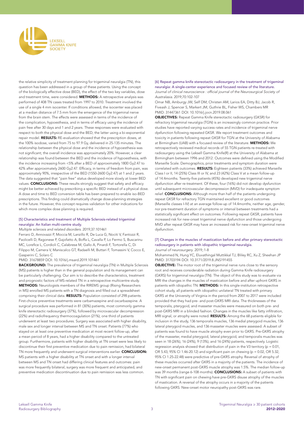

the relative simplicity of treatment planning for trigeminal neuralgia (TN), this question has been addressed in a group of these patients. Using the concept of the biologically effective dose (BED), the effect of the two key variables, dose and treatment time, were considered. **METHODS:** A retrospective analysis was performed of 408 TN cases treated from 1997 to 2010. Treatment involved the use of a single 4 mm isocenter. If conditions allowed, the isocenter was placed at a median distance of 7.5 mm from the emergence of the trigeminal nerve from the brain stem. The effects were assessed in terms of the incidence of the complication, hypoesthesia, and in terms of efficacy using the incidence of pain free after 30 days and 1 and 2 years. These responses were evaluated with respect to both the physical dose and the BED, the latter using a bi-exponential repair model. **RESULTS:** RE-evaluation showed that the prescription doses, at the 100% isodose, varied from 75 to 97.9 Gy, delivered in 25-135 minutes. The relationship between the physical dose and the incidence of hypoesthesia was not significant; the overall incidence was approximately 20%. However, a clear relationship was found between the BED and the incidence of hypoesthesia, with the incidence increasing from <5% after a BED of approximately 1800 Gy2.47 to 42% after approximately 2600 Gy2.47. Efficacy, in terms of freedom from pain, was approximately 90%, irrespective of the BED (1550-2600 Gy2.47) at 1 and 2 years. The data suggested that "pain free" status developed more slowly at lower BED values. **CONCLUSIONS:** These results strongly suggest that safety and efficacy might be better achieved by prescribing a specific BED instead of a physical dose. A dose and time to BED conversion table has been prepared to enable iso-BED prescriptions. This finding could dramatically change dose-planning strategies in the future. However, this concept requires validation for other indications for which more complex dose planning is required.

#### [5] Characteristics and treatment of Multiple Sclerosis-related trigeminal neuralgia: An Italian multi-centre study.

#### *Multiple sclerosis and related disorders*. 2019;37:101461

Ferraro D, Annovazzi P, Moccia M, Lanzillo R, De Luca G, Nociti V, Fantozzi R, Paolicelli D, Ragonese P, Gajofatto A, Boffa L, Cavalla P, Lo Fermo S, Buscarinu MC, Lorefice L, Cordioli C, Calabrese M, Gallo A, Pinardi F, Tortorella C, Di Filippo M, Camera V, Maniscalco GT, Radaelli M, Buttari F, Tomassini V, Cocco E, Gasperini C, Solaro C

PMID: 31678859 DOI: 10.1016/j.msard.2019.101461

BACKGROUND: The prevalence of trigeminal neuralgia (TN) in Multiple Sclerosis (MS) patients is higher than in the general population and its management can be particularly challenging. Our aim is to describe the characteristics, treatment and prognostic factors of MS-related TN in a retrospective multicentre study. METHODS: Neurologists members of the RIREMS group (Rising Researchers in MS) enrolled MS patients with a TN diagnosis and filled out a spreadsheet comprising their clinical data. RESULTS: Population consisted of 298 patients. First-choice preventive treatments were carbamazepine and oxcarbazepine. A surgical procedure was performed in 81 (30%) patients, most commonly gamma knife stereotactic radiosurgery (37%), followed by microvascular decompression (22%) and radiofrequency thermocoagulation (21%); one third of patients underwent at least two procedures. Surgery was associated with higher disability, male sex and longer interval between MS and TN onset. Patients (77%) who stayed on at least one preventive medication at most recent follow-up, after a mean period of 8 years, had a higher disability compared to the untreated group. Furthermore, patients with higher disability at TN onset were less likely to discontinue their first preventive medication due to pain remission, had bilateral TN more frequently and underwent surgical interventions earlier. CONCLUSION: MS patients with a higher disability at TN onset and with a longer interval between MS and TN onset had differing clinical features and outcomes: pain was more frequently bilateral, surgery was more frequent and anticipated, and preventive medication discontinuation due to pain remission was less common.

[6] Repeat gamma knife stereotactic radiosurgery in the treatment of trigeminal neuralgia: A single-center experience and focused review of the literature. Journal of clinical neuroscience : official journal of the Neurosurgical Society *of Australasia*. 2019;70:102-107

Omar NB, Amburgy JW, Self DM, Christen AM, Larios EA, Ditty BJ, Jacob R, Fiveash J, Spencer S, Markert JM, Guthrie BL, Fisher WS, Chambers MR PMID: 31447361 DOI: 10.1016/j.jocn.2019.08.061

OBJECTIVES: Repeat Gamma Knife stereotactic radiosurgery (GKSR) for refractory trigeminal neuralgia (TGN) is an increasingly common practice. Prior studies have reported varying success rates and incidence of trigeminal nerve dysfunction following repeated GKSR. We report treatment outcomes and toxicity in patients following repeat GKSR for TGN at the University of Alabama at Birmingham (UAB) with a focused review of the literature. METHODS: We retrospectively reviewed medical records of 55 TGN patients re-treated with radiosurgery using the Leksell Gamma Knife(R) at the University of Alabama at Birmingham between 1996 and 2012. Outcomes were defined using the Modified Marseille Scale. Demographics, prior treatments and symptom duration were correlated with outcomes. RESULTS: Eighteen patients (33%) achieved Marseille Class I or II, 14 (25%) Class III or IV, and 23 (42%) Class V at a mean follow-up of 14.4months. Twenty-five patients (45%) developed new trigeminal nerve dysfunction after re-treatment. Of these, four (16%) did not develop dysfunction until subsequent microvascular decompression (MVD) for inadequate symptom relief. CONCLUSIONS: Although more than half of the patients undergoing repeat GKSR for refractory TGN maintained excellent or good outcomes (Marseille classes I-IV) at an average follow-up of 14.4months, neither age, gender, nor pre-treatment duration of symptoms or interval between treatments had a statistically significant effect on outcomes. Following repeat GKSR, patients have increased risk for new-onset trigeminal nerve dysfunction and those undergoing MVD after repeat GKSR may have an increased risk for new-onset trigeminal nerve dysfunction.

#### [7] Changes in the muscles of mastication before and after primary stereotactic radiosurgery in patients with idiopathic trigeminal neuralgia. *Journal of neurosurgery*. 2019;:1-8

Mohammed N, Hung YC, Eluvathingal Muttikkal TJ, Bliley RC, Xu Z, Sheehan JP PMID: 31703194 DOI: 10.3171/2019.8.JNS191455

**OBJECTIVE:** The motor root of the trigeminal nerve runs close to the sensory root and receives considerable radiation during Gamma Knife radiosurgery (GKRS) for trigeminal neuralgia (TN). The object of this study was to evaluate via MRI the changes in the muscles of mastication before and after upfront GKRS in patients with idiopathic TN. METHODS: In this single-institution retrospective cohort study, all patients with idiopathic unilateral TN treated with primary GKRS at the University of Virginia in the period from 2007 to 2017 were included provided that they had pre- and post-GKRS MRI data. The thicknesses of the temporalis, pterygoid, and masseter muscles were measured on both pre- and post-GKRS MRI in a blinded fashion. Changes in the muscles like fatty infiltration, MRI signal, or atrophy were noted. RESULTS: Among the 68 patients eligible for inclusion in the study, 136 temporalis muscles, 136 medial pterygoid muscles, 136 lateral pterygoid muscles, and 136 masseter muscles were assessed. A subset of patients was found to have muscle atrophy even prior to GKRS. Pre-GKRS atrophy of the masseter, medial pterygoid, lateral pterygoid, and temporalis muscles was seen in 18 (26%), 16 (24%), 9 (13%), and 16 (24%) patients, respectively. Logistic regression analysis showed that distribution of pain in the V3 territory ( $p = 0.01$ , OR 5.43, 95% CI 1.46-20.12) and significant pain on chewing (p = 0.02, OR 5.32, 95% CI 1.25-22.48) were predictive of pre-GKRS atrophy. Reversal of atrophy of these muscles occurred after GKRS in a majority of the patients. The incidence of new-onset permanent post-GKRS muscle atrophy was 1.5%. The median follow-up was 39 months (range 6-108 months). **CONCLUSIONS:** A subset of patients with TN with significant pain on chewing have pre-GKRS disuse atrophy of the muscles of mastication. A reversal of the atrophy occurs in a majority of the patients following GKRS. New-onset motor neuropathy post-GKRS was rare.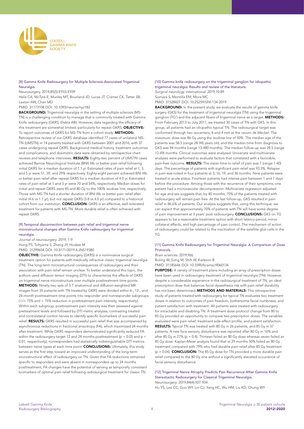

#### [8] Gamma Knife Radiosurgery for Multiple Sclerosis-Associated Trigeminal Neuralgia.

Neurosurgery. 2019;85(5):E933-E939

Helis CA, McTyre E, Munley MT, Bourland JD, Lucas JT, Cramer CK, Tatter SB, Laxton AW, Chan MD

PMID: 31173108 DOI: 10.1093/neuros/nyz182

BACKGROUND: Trigeminal neuralgia in the setting of multiple sclerosis (MS-TN) is a challenging condition to manage that is commonly treated with Gamma Knife radiosurgery (GKRS; Elekta AB). However, data regarding the efficacy of this treatment are somewhat limited, particularly for repeat GKRS. OBJECTIVE: To report outcomes of GKRS for MS-TN from a cohort study. METHODS: Retrospective review of our GKRS database identified 77 cases of unilateral MS-TN (UMSTN) in 74 patients treated with GKRS between 2001 and 2016, with 37 cases undergoing repeat GKRS. Background medical history, treatment outcomes and complications, and dosimetric data were obtained by retrospective chart reviews and telephone interviews. RESULTS: Eighty-two percent of UMSTN cases achieved Barrow Neurological Institute (BNI) IIIb or better pain relief following initial GKRS for a median duration of 1.1 yr. Estimated rates of pain relief at 1, 3, and 5 yr were 51, 39, and 29% respectively. Eighty-eight percent achieved BNI IIIb or better pain relief after repeat GKRS for a median duration of 4.0 yr. Estimated rates of pain relief at 1 and 3 yr were 70 and 54%, respectively. Median doses for initial and repeat GKRS were 85 and 80 Gy to the 100% isodose line, respectively. Those with MS-TN had a shorter duration of BNI IIIb or better pain relief after initial (4.6 vs 1.1 yr), but not repeat GKRS (3.8 vs 4.0 yr) compared to a historical cohort from our institution. **CONCLUSION:** GKRS is an effective, well-tolerated treatment for patients with MS-TN. More durable relief is often achieved with repeat GKRS.

#### [9] Temporal disconnection between pain relief and trigeminal nerve microstructural changes after Gamma Knife radiosurgery for trigeminal neuralgia.

*Journal of neurosurgery*. 2019;:1-9 Hung PS, Tohyama S, Zhang JY, Hodaie M PMID: 31299654 DOI: 10.3171/2019.4.JNS19380

OBJECTIVE: Gamma Knife radiosurgery (GKRS) is a noninvasive surgical treatment option for patients with medically refractive classic trigeminal neuralgia (TN). The long-term microstructural consequences of radiosurgery and their association with pain relief remain unclear. To better understand this topic, the authors used diffusion tensor imaging (DTI) to characterize the effects of GKRS on trigeminal nerve microstructure over multiple posttreatment time points. METHODS: Ninety-two sets of 3-T anatomical and diffusion-weighted MR images from 55 patients with TN treated by GKRS were divided within 6-, 12-, and 24-month posttreatment time points into responder and nonresponder subgroups (>/= 75% and < 75% reduction in posttreatment pain intensity, respectively). Within each subgroup, posttreatment pain intensity was then assessed against pretreatment levels and followed by DTI metric analyses, contrasting treated and contralateral control nerves to identify specific biomarkers of successful pain relief. RESULTS: GKRS resulted in successful pain relief that was accompanied by asynchronous reductions in fractional anisotropy (FA), which maximized 24 months after treatment. While GKRS responders demonstrated significantly reduced FA within the radiosurgery target 12 and 24 months posttreatment ( $p < 0.05$  and  $p <$ 0.01, respectively), nonresponders had statistically indistinguishable DTI metrics between nerve types at each time point. **CONCLUSIONS:** Ultimately, this study serves as the first step toward an improved understanding of the long-term microstructural effect of radiosurgery on TN. Given that FA reductions remained specific to responders and were absent in nonresponders up to 24 months posttreatment, FA changes have the potential of serving as temporally consistent biomarkers of optimal pain relief following radiosurgical treatment for classic TN.

#### [10] Gamma knife radiosurgery on the trigeminal ganglion for idiopathic trigeminal neuralgia: Results and review of the literature. *Surgical neurology international*. 2019;10:89 Somaza S, Montilla EM, Mora MC

PMID: 31528427 DOI: 10.25259/SNI-134-2019

BACKGROUND: In the present study, we evaluate the results of gamma knife surgery (GKS) for the treatment of trigeminal neuralgia (TN) using the trigeminal ganglion (TG') and the adjacent fibers of trigeminal nerve as a target. METHODS: From February 2013 to July 2017, we treated 30 cases of TN with GKS. In this group, all patients had an idiopathic typical TN. The radiosurgical target was conformed through two isocenters, 8 and 4 mm at the cavum de Meckel. The maximum dose was 86 Gy using the isodose line of 50%. The median age of the patients was 58.5 (range 28-94) years old, and the median time from diagnosis to GKS was 94 months (range 13-480 months). The median follow-up was 28.5 (range 12-49) months. Clinical outcomes were analyzed. Univariate and multivariate analyses were performed to evaluate factors that correlated with a favorable, pain-free outcome. RESULTS: The mean time to relief of pain was 7 (range 1-40) days. The percentage of patients with significant pain relief was 93.3%. Relapse in pain was noted in four patients at 3, 16, 19, and 36 months. Nine patients were treated in acute status. Fourteen patients had intense pain between 1 and 7 days before the procedure. Among those with the recurrence of their symptoms, one patient had a microvascular decompression. Multivariate regression adjusted for age and sex suggests that, by 40 months, 70% of the patients treated with radiosurgery will remain pain free. At the last follow-up, GKS resulted in pain relief in 86.6% of patients. Our analysis suggests that, using this technique, we can expect that approximately 70% of patients with TN will have some degree of pain improvement at 3 years' post radiosurgery. **CONCLUSIONS:** GKS on TG appears to be a reasonable treatment option with short latency period, minor collateral effects, and high percentage of pain control. The mechanism of action of radiosurgery could be related to the inactivation of the satellite glial cells in the TG.

#### [11] Gamma Knife Radiosurgery for Trigeminal Neuralgia: A Comparison of Dose Protocols.

*Brain sciences*. 2019;9(6)

Boling W, Song M, Shih W, Karlsson B

PMID: 31185646 DOI: 10.3390/brainsci9060134

PURPOSE: A variety of treatment plans including an array of prescription doses have been used in radiosurgery treatment of trigeminal neuralgia (TN). However, despite a considerable experience in the radiosurgical treatment of TN, an ideal prescription dose that balances facial dysesthesia risk with pain relief durability has not been determined. METHODS AND MATERIALS: This retrospective study of patients treated with radiosurgery for typical TN evaluates two treatment doses in relation to outcomes of pain freedom, bothersome facial numbness, and patient satisfaction with treatment. All patients were treated with radiosurgery for intractable and disabling TN. A treatment dose protocol change from 80 to 85 Gy provided an opportunity to compare two prescription doses. The variables evaluated were pain relief, treatment side-effect profile, and patient satisfaction. RESULTS: Typical TN was treated with 80 Gy in 26 patients, and 85 Gy in 37 patients. A new face sensory disturbance was reported after 80 Gy in 16% and after 85 Gy in 27% (p = 0.4). Thirteen failed an 80 Gy dose whereas seven failed an 85 Gy dose. Kaplan-Meier analysis found that at 29 months 50% failed an 80 Gy treatment compared with 79% who had durable pain relief after 85 Gy treatment  $(p = 0.04)$ . **CONCLUSION:** The 85 Gy dose for TN provided a more durable pain relief compared to the 80 Gy one without a significantly elevated occurrence of facial sensory disturbance.

#### [12] Trigeminal Nerve Atrophy Predicts Pain Recurrence After Gamma Knife Stereotactic Radiosurgery for Classical Trigeminal Neuralgia. *Neurosurgery*. 2019;84(4):927-934

Hu YS, Lee CC, Guo WY, Lin CJ, Yang HC, Wu HM, Liu KD, Chung WY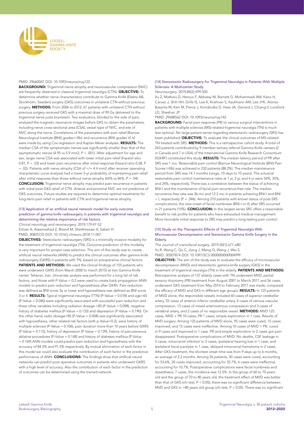

#### PMID: 29660047 DOI: 10.1093/neuros/nyy122

BACKGROUND: Trigeminal nerve atrophy and neurovascular compression (NVC) are frequently observed in classical trigeminal neuralgia (CTN). **OBJECTIVE:** To determine whether nerve characteristics contribute to Gamma Knife (Elekta AB, Stockholm, Sweden) surgery (GKS) outcomes in unilateral CTN without previous surgery. METHODS: From 2006 to 2012, 67 patients with unilateral CTN without previous surgery received GKS with a maximal dose of 90 Gy delivered to the trigeminal nerve juxta brainstem. Two evaluators, blinded to the side of pain, analyzed the magnetic resonance images before GKS to obtain the parameters, including nerve cross-sectional area (CSA), vessel type of NVC, and site of NVC along the nerve. Correlations of the parameters with pain relief (Barrow Neurological Institute [BNI] grades I-IIIb) and recurrence (BNI grades VI-V) were made by using Cox regression and Kaplan-Meier analyses. RESULTS: The median CSA of the symptomatic nerves was significantly smaller than that of the asymptomatic nerves (4.95 vs 5.9 mm2, P < .001). After adjustment for age and sex, larger nerve CSA was associated with lower initial pain relief (hazard ratio 0.81, P = .03) and lower pain recurrence after initial response (hazard ratio 0.58, P  $= .02$ ). Patients with nerve atrophy (CSA of  $\lt/= 4.4$  mm2 after receiver operating characteristic curve analysis) had a lower 5-yr probability of maintaining pain relief after initial response than those without nerve atrophy (65% vs  $86\%$ ,  $P = .04$ ). CONCLUSION: Trigeminal nerve atrophy may predict pain recurrence in patients with initial post-GKS relief of CTN. Arterial and proximal NVC are not predictive of GKS outcomes. Future studies are required to determine optimal treatments for long-term pain relief in patients with CTN and trigeminal nerve atrophy.

#### [13] Application of an artificial neural network model for early outcome prediction of gamma knife radiosurgery in patients with trigeminal neuralgia and determining the relative importance of risk factors.

*Clinical neurology and neurosurgery*. 2019;179:47-52 Ertiaei A, Ataeinezhad Z, Bitaraf M, Sheikhrezaei A, Saberi H

PMID: 30825722 DOI: 10.1016/j.clineuro.2018.11.007

OBJECTIVES: Stereotactic radiosurgery (SRS) is a minimally invasive modality for the treatment of trigeminal neuralgia (TN). Outcome prediction of this modality is very important for proper case selection. The aim of this study was to create artificial neural networks (ANN) to predict the clinical outcomes after gamma knife radiosurgery (GKRS) in patients with TN, based on preoperative clinical factors. PATIENTS AND METHODS: We used the clinical findings of 155 patients who were underwent GKRS (from March 2000 to march 2015) at Iran Gamma Knife center, Teheran, Iran. Univariate analysis was performed for a long list of risk factors, and those with P-Value < 0.2 were used to create back-propagation ANN models to predict pain reduction and hypoesthesia after GKRS. Pain reduction was defined as BNI score 3a or lower and hypoesthesia was defined as BNI score 3 or 4. RESULTS: Typical trigeminal neuralgia (TTN) (P-Value = 0.018) and age>65 (P-Value = 0.040) were significantly associated with successful pain reduction and three other variables including radiation dosage >85 (P-Value = 0.098), negative history of diabetes mellitus (P-Value = 0.133) and depression (P-Value = 0.190). On the other hand, radio dosage>85 (P-Value = 0.008) was significantly associated with hypoesthesia, other related risk factors (with p-Value<0.2), were history of multiple sclerosis (P-Value = 0.106), pain duration more than 10 years before GKRS (P-Value = 0.115), history of depression (P-Value = 0.139), history of percutaneous ablative procedures (P-Value = 0.148) and history of diabetes mellitus (P-Value = 0.169).ANN models could predict pain reduction and hypoesthesia with the accuracy of 84.5% and 91.5% respectively. By mutual elimination of each factor in this model we could also evaluate the contribution of each factor in the predictive performance of ANN. CONCLUSIONS: The findings show that artificial neural networks can predict post operative outcomes in patients who underwent GKRS with a high level of accuracy. Also the contribution of each factor in the prediction of outcomes can be determined using the trained network.

#### [14] Stereotactic Radiosurgery for Trigeminal Neuralgia in Patients With Multiple Sclerosis: A Multicenter Study.

#### *Neurosurgery*. 2019;84(2):499-505

Xu Z, Mathieu D, Heroux F, Abbassy M, Barnett G, Mohammadi AM, Kano H, Caruso J, Shih HH, Grills IS, Lee K, Krishnan S, Kaufmann AM, Lee JYK, Alonso-Basanta M, Kerr M, Pierce J, Kondziolka D, Hess JA, Gerrard J, Chiang V, Lunsford LD, Sheehan JP

PMID: 29688562 DOI: 10.1093/neuros/nyy142

**BACKGROUND:** Facial pain response (PR) to various surgical interventions in patients with multiple sclerosis (MS)-related trigeminal neuralgia (TN) is much less optimal. No large patient series regarding stereotactic radiosurgery (SRS) has been published. **OBJECTIVE:** To evaluate the clinical outcomes of MS-related TN treated with SRS. METHODS: This is a retrospective cohort study. A total of 263 patients contributed by 9 member tertiary referral Gamma Knife centers (2 in Canada and 7 in USA) of the International Gamma Knife Research Consortium (IGKRF) constituted this study. RESULTS: The median latency period of PR after SRS was 1 mo. Reasonable pain control (Barrow Neurological Institute [BNI] Pain Scores I-IIIb) was achieved in 232 patients (88.2%). The median maintenance period from SRS was 14.1 months (range, 10 days to 10 years). The actuarial reasonable pain control maintenance rates at 1 yr, 2 yr, and 4 yr were 54%, 35%, and 24%, respectively. There was a correlation between the status of achieving BNI-I and the maintenance of facial pain recurrence-free rate. The median recurrence-free rate was 36 mo and 12.2 mo in patients achieving BNI-I and BNI > I, respectively (P = .046). Among 210 patients with known status of post-SRS complications, the new-onset of facial numbness (BNI-I or II) after SRS occurred in 21 patients (10%). **CONCLUSION:** In this largest series SRS offers a reasonable benefit to risk profile for patients who have exhausted medical management. More favorable initial response to SRS may predict a long-lasting pain control.

#### [15] Study on the Therapeutic Effects of Trigeminal Neuralgia With Microvascular Decompression and Stereotactic Gamma Knife Surgery in the Elderly.

The Journal of craniofacial surgery. 2019;30(1):e77-e80 Yu R, Wang C, Qu C, Jiang J, Meng Q, Wang J, Wei S PMID: 30507874 DOI: 10.1097/SCS.0000000000004999

**OBJECTIVE:** The aim of the study was to evaluate the efficacy of microvascular decompression (MVD) and stereotactic gamma knife surgery (GKS) in the treatment of trigeminal neuralgia (TN) in the elderly. PATIENTS AND METHODS: Retrospective analysis of 137 elderly cases with TN underwent MVD, partial sensory rhizotomy (PR) treatment from August 2007 to March 2017 and 56 cases underwent GKS treatment from May 2014 to February 2017 was made, compared the efficacy of MVD and GKS in different age groups. RESULTS: In 125 patients of MVD alone, the responsible vessels included 60 cases of superior cerebellar artery, 55 cases of anterior inferior cerebellar artery, 4 cases of venous vascular compression, 13 cases of mixed arteriovenous compression and 3 cases of vertebral artery, and 2 cases of no responsible vessel. **METHODS:** MVD 125 cases, MVD + PR 10 cases, PR 1 cases, simple exploration in 1 case. Results of MVD surgery: Among 125 patients of MVD alone, 95 cases were cured, 15 cases improved, and 15 cases were ineffective. Among 10 cases of MVD + PR, cured in 9 cases and improved in 1 case. PR and simple exploration in 2 cases got pain disappeared. Postoperative complications of MVD: No deaths, CSF leakage in 2 cases, intracranial infection in 3 cases, ipsilateral hearing loss in 1 case, and ipsilateral facial paralysis in 1 case, delayed intracranial hematoma in 2 cases. After GKS treatment, the shortest onset time was from 9 days up to 6 months, an average of 2.2 months. Among 56 patients, 30 cases were cured, accounting for 53.6%, 20 cases improved, accounting for 35.7%, 6 cases were ineffective, accounting for 10.7%. Postoperative complications were facial numbness and dysesthesia, 7 cases, the incidence was 12.5%. In the group of 60 to 70 years old and the group of 70 to 80 years old, the treatment effect of MVD was better than that of GKS (chi test, P < 0.05); there was no significant difference between MVD and GKS in >80 years old group (chi test, P > 0.05). There was no significant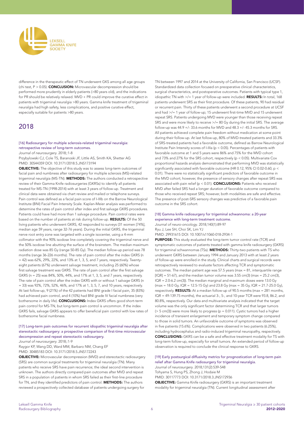

difference in the therapeutic effect of TN underwent GKS among all age groups (chi test, P > 0.05). **CONCLUSION:** Microvascular decompression should be performed more prudently in elderly patients (>80 years old), and the indications for PR should be relatively relaxed. MVD + PR could improve the curative effect in patients with trigeminal neuralgia >80 years. Gamma knife treatment of trigeminal neuralgia had high safety, less complications, and positive curative effect, especially suitable for patients >80 years.

## 2018

#### [16] Radiosurgery for multiple sclerosis-related trigeminal neuralgia: retrospective review of long-term outcomes.

*Journal of neurosurgery*. 2018;:1-8

Przybylowski CJ, Cole TS, Baranoski JF, Little AS, Smith KA, Shetter AG PMID: 30544359 DOI: 10.3171/2018.5.JNS173194

OBJECTIVE: The objective of this study was to assess long-term outcomes of facial pain and numbness after radiosurgery for multiple sclerosis (MS)-related trigeminal neuralgia (MS-TN). METHODS: The authors conducted a retrospective review of their Gamma Knife radiosurgeries (GKRSs) to identify all patients treated for MS-TN (1998-2014) with at least 3 years of follow-up. Treatment and clinical data were obtained via chart review and mailed or telephone surveys. Pain control was defined as a facial pain score of I-IIIb on the Barrow Neurological Institute (BNI) Facial Pain Intensity Scale. Kaplan-Meier analysis was performed to determine the rates of pain control after index and first salvage GKRS procedures. Patients could have had more than 1 salvage procedure. Pain control rates were based on the number of patients at risk during follow-up. RESULTS: Of the 50 living patients who underwent GKRS, 42 responded to surveys (31 women [74%], median age 59 years, range 32-76 years). During the initial GKRS, the trigeminal nerve root entry zone was targeted with a single isocenter, using a 4-mm collimator with the 90% isodose line completely covering the trigeminal nerve and the 50% isodose line abutting the surface of the brainstem. The median maximum radiation dose was 85 Gy (range 50-85 Gy). The median follow-up period was 78 months (range 36-226 months). The rate of pain control after the index GKRS (n  $= 42$ ) was 62%, 29%, 22%, and 13% at 1, 3, 5, and 7 years, respectively. Twentyeight patients (67%) underwent salvage treatment, including 25 (60%) whose first salvage treatment was GKRS. The rate of pain control after the first salvage GKRS (n = 25) was 84%, 50%, 44%, and 17% at 1, 3, 5, and 7 years, respectively. The rate of pain control after the index GKRS with or without 1 salvage GKRS (n = 33) was 92%, 72%, 52%, 46%, and 17% at 1, 3, 5, 7, and 10 years, respectively. At last follow-up, 9 (21%) of the 42 patients had BNI grade I facial pain, 35 (83%) had achieved pain control, and 4 (10%) had BNI grade IV facial numbness (very bothersome in daily life). CONCLUSIONS: Index GKRS offers good short-term pain control for MS-TN, but long-term pain control is uncommon. If the index GKRS fails, salvage GKRS appears to offer beneficial pain control with low rates of bothersome facial numbness.

#### [17] Long-term pain outcomes for recurrent idiopathic trigeminal neuralgia after stereotactic radiosurgery: a prospective comparison of first-time microvascular decompression and repeat stereotactic radiosurgery.

*Journal of neurosurgery*. 2018;:1-9

Raygor KP, Wang DD, Ward MM, Barbaro NM, Chang EF PMID: 30485183 DOI: 10.3171/2018.5.JNS172243

OBJECTIVE: Microvascular decompression (MVD) and stereotactic radiosurgery (SRS) are common surgical treatments for trigeminal neuralgia (TN). Many patients who receive SRS have pain recurrence; the ideal second intervention is unknown. The authors directly compared pain outcomes after MVD and repeat SRS in a population of patients in whom SRS failed as their first-line procedure for TN, and they identified predictors of pain control. **METHODS:** The authors reviewed a prospectively collected database of patients undergoing surgery for

TN between 1997 and 2014 at the University of California, San Francisco (UCSF). Standardized data collection focused on preoperative clinical characteristics, surgical characteristics, and postoperative outcomes. Patients with typical type 1, idiopathic TN with >/= 1 year of follow-up were included. RESULTS: In total, 168 patients underwent SRS as their first procedure. Of these patients, 90 had residual or recurrent pain. Thirty of these patients underwent a second procedure at UCSF and had >/= 1 year of follow-up; 15 underwent first-time MVD and 15 underwent repeat SRS. Patients undergoing MVD were younger than those receiving repeat SRS and were more likely to receive >/= 80 Gy during the initial SRS. The average follow-up was  $44.9 +$ /- 33.6 months for MVD and  $48.3 +$ /-  $45.3$  months for SRS. All patients achieved complete pain freedom without medication at some point during their follow-up. At last follow-up, 80% of MVD-treated patients and 33.3% of SRS-treated patients had a favorable outcome, defined as Barrow Neurological Institute Pain Intensity scores of I-IIIa (p < 0.05). Percentages of patients with favorable outcome at 1 and 5 years were 86% and 75% for the MVD cohort and 73% and 27% for the SRS cohort, respectively (p < 0.05). Multivariate Cox proportional hazards analysis demonstrated that performing MVD was statistically significantly associated with favorable outcome (HR 0.12, 95% CI 0.02-0.60, p < 0.01). There were no statistically significant predictors of favorable outcome in the MVD cohort; however, the presence of sensory changes after repeat SRS was associated with pain relief (p < 0.01). CONCLUSIONS: Patients who received MVD after failed SRS had a longer duration of favorable outcome compared to those who received repeat SRS; however, both modalities are safe and effective. The presence of post-SRS sensory changes was predictive of a favorable pain outcome in the SRS cohort.

#### [18] Gamma knife radiosurgery for trigeminal schwannoma: a 20-year experience with long-term treatment outcome.

*Journal of neuro-oncology*. 2018;140(1):89-97 Ryu J, Lee SH, Choi SK, Lim YJ

PMID: 29931615 DOI: 10.1007/s11060-018-2934-1

PURPOSE: This study evaluated the long-term tumor control rate (TCR) and symptomatic outcomes of patients treated with gamma knife radiosurgery (GKRS) for trigeminal schwannomas (TSs). METHODS: Thirty-two patients with TS who underwent GKRS between January 1994 and January 2013 with at least 2 years of follow-up were enrolled in the study. Clinical charts and surgical records were retrospectively reviewed to evaluate factors affecting TCR and symptomatic outcomes. The median patient age was 57.5 years (max = 81, interquartile range  $[IQR] = 51-67$ ), and the median tumor volume was 3.55 cm(3) (max = 25.2 cm(3), IQR = 2.0-6.2 cm(3)). The median marginal and maximum doses were 13.0 Gy  $(max = 18.0 \text{ Gy}, IQR = 12.5-15 \text{ Gy})$  and 23.8 Gy (max = 35 Gy, IQR = 21.7-25.0 Gy), respectively. **RESULTS:** At a median follow-up of 90.5 months (max  $= 281$  months, IQR = 49-139.75 months), the actuarial 3-, 5-, and 10-year TCR were 93.8, 86.2, and 80.8%, respectively. Our data and multivariate analysis indicated that the target volume was the only significant factor determining TCR and that larger tumors  $(> 5 cm(3))$  were more likely to progress (p = 0.011). Cystic tumors had a higher incidence of transient enlargement and temporary symptom change compared to those in solid tumors. An unfavorable outcome of symptoms was observed in five patients (15.6%). Complications were observed in two patients (6.25%), including hydrocephalus and radio-induced trigeminal neuropathy, respectively. CONCLUSIONS: GKRS can be a safe and effective treatment modality for TS with long-term follow-up, especially for small tumors. An extended period of follow-up observation is required to conclude the clinical response to GKRS.

#### [19] Early postsurgical diffusivity metrics for prognostication of long-term pain relief after Gamma Knife radiosurgery for trigeminal neuralgia. *Journal of neurosurgery*. 2018;131(2):539-548

Tohyama S, Hung PS, Zhong J, Hodaie M PMID: 30117773 DOI: 10.3171/2018.3.JNS172936 OBJECTIVE: Gamma Knife radiosurgery (GKRS) is an important treatment modality for trigeminal neuralgia (TN). Current longitudinal assessment after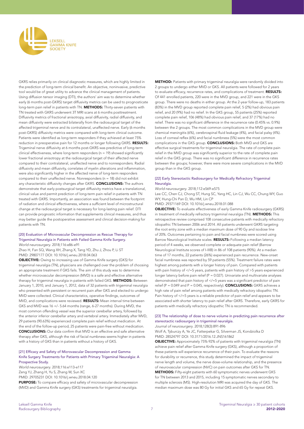

GKRS relies primarily on clinical diagnostic measures, which are highly limited in the prediction of long-term clinical benefit. An objective, noninvasive, predictive tool would be of great utility to advance the clinical management of patients. Using diffusion tensor imaging (DTI), the authors' aim was to determine whether early (6 months post-GKRS) target diffusivity metrics can be used to prognosticate long-term pain relief in patients with TN. METHODS: Thirty-seven patients with TN treated with GKRS underwent 3T MRI scans at 6 months posttreatment. Diffusivity metrics of fractional anisotropy, axial diffusivity, radial diffusivity, and mean diffusivity were extracted bilaterally from the radiosurgical target of the affected trigeminal nerve and its contralateral, unaffected nerve. Early (6 months post-GKRS) diffusivity metrics were compared with long-term clinical outcome. Patients were identified as long-term responders if they achieved at least 75% reduction in preoperative pain for 12 months or longer following GKRS. RESULTS: Trigeminal nerve diffusivity at 6 months post-GKRS was predictive of long-term clinical effectiveness, where long-term responders ( $n = 19$ ) showed significantly lower fractional anisotropy at the radiosurgical target of their affected nerve compared to their contralateral, unaffected nerve and to nonresponders. Radial diffusivity and mean diffusivity, correlates of myelin alterations and inflammation, were also significantly higher in the affected nerve of long-term responders compared to their unaffected nerve. Nonresponders (n = 18) did not exhibit any characteristic diffusivity changes after GKRS. CONCLUSIONS: The authors demonstrate that early postsurgical target diffusivity metrics have a translational, clinical value and permit prediction of long-term pain relief in patients with TN treated with GKRS. Importantly, an association was found between the footprint of radiation and clinical effectiveness, where a sufficient level of microstructural change at the radiosurgical target is necessary for long-lasting pain relief. DTI can provide prognostic information that supplements clinical measures, and thus may better guide the postoperative assessment and clinical decision-making for patients with TN.

#### [20] Evaluation of Microvascular Decompression as Rescue Therapy for Trigeminal Neuralgia in Patients with Failed Gamma Knife Surgery.

*World neurosurgery*. 2018;116:e86-e91

Zhao H, Fan SQ, Wang XH, Zhang X, Tang YD, Zhu J, Zhou P, Li ST PMID: 29807177 DOI: 10.1016/j.wneu.2018.04.063

OBJECTIVE: Owing to increasing use of Gamma Knife surgery (GKS) for trigeminal neuralgia (TN), physicians are challenged over the problem of choosing an appropriate treatment if GKS fails. The aim of this study was to determine whether microvascular decompression (MVD) is a safe and effective alternative therapy for trigeminal neuralgia in patients with failed GKS. METHODS: Between January 1, 2010, and January 1, 2012, data of 32 patients with trigeminal neuralgia who presented with persistent or recurrent pain after GKS and elected to undergo MVD were collected. Clinical characteristics, operative findings, outcomes of MVD, and complications were reviewed. RESULTS: Mean interval time between GKS and MVD was 16 +/- 5.64 months (range, 6-27 months). During MVD, the most common offending vessel was the superior cerebellar artery, followed by the anterior inferior cerebellar artery and vertebral artery. Immediately after MVD, 29 patients (90.63%) experienced complete pain relief without medication. At the end of the follow-up period, 25 patients were pain-free without medication. CONCLUSIONS: Our data confirm that MVD is an effective and safe alternative therapy after GKS, although the risk of facial numbness seems higher in patients with a history of GKS than in patients without a history of GKS.

#### [21] Efficacy and Safety of Microvascular Decompression and Gamma Knife Surgery Treatments for Patients with Primary Trigeminal Neuralgia: A Prospective Study.

*World neurosurgery*. 2018;116:e113-e117 Zeng YJ, Zhang H, Yu S, Zhang W, Sun XC PMID: 29705231 DOI: 10.1016/j.wneu.2018.04.120

PURPOSE: To compare efficacy and safety of microvascular decompression (MVD) and Gamma Knife surgery (GKS) treatments for trigeminal neuralgia.

METHOD: Patients with primary trigeminal neuralgia were randomly divided into 2 groups to undergo either MVD or GKS. All patients were followed for 2 years to evaluate efficacy, recurrence rates, and complications of treatment. RESULTS: Of 441 enrolled patients, 220 were in the MVD group, and 221 were in the GKS group. There were no deaths in either group. At the 2-year follow-up, 183 patients (83%) in the MVD group reported complete pain relief, 5 (2%) had obvious pain relief, and 20 (9%) had no relief. In the GKS group, 55 patients (25%) reported complete pain relief, 106 (48%) had obvious pain relief, and 37 (17%) had no relief. There was no significant difference in the recurrence rate (0.45% vs. 0.9%) between the 2 groups. The most common complications in the MVD group were chemical meningitis (6%), cerebrospinal fluid leakage (4%), and facial palsy (4%). Loss of corneal reflex (6%) and facial numbness (5%) were the most common complications in the GKS group. CONCLUSIONS: Both MVD and GKS are effective surgical treatments for trigeminal neuralgia. The rate of complete pain relief in the MVD group was significantly superior to the rate of complete pain relief in the GKS group. There was no significant difference in recurrence rates between the groups; however, there were more severe complications in the MVD group than in the GKS group.

#### [22] Early Stereotactic Radiosurgery for Medically Refractory Trigeminal Neuralgia.

#### *World neurosurgery*. 2018;112:e569-e575

Lee CC, Chen CJ, Chong ST, Hung SC, Yang HC, Lin CJ, Wu CC, Chung WY, Guo WY, Hung-Chi Pan D, Wu HM, Lin CP

PMID: 29371169 DOI: 10.1016/j.wneu.2018.01.088

OBJECTIVE: To evaluate effectiveness of early Gamma Knife radiosurgery (GKRS) in treatment of medically refractory trigeminal neuralgia (TN). METHODS: This retrospective review comprised 108 consecutive patients with medically refractory idiopathic TN between 2006 and 2014. All patients underwent GKRS targeting the root entry zone with a median maximum dose of 90 Gy and isodose line of 20%. Outcomes pertaining to pain and facial numbness were scored using Barrow Neurological Institute scales. RESULTS: Following a median latency period of 4 weeks, we observed complete or adequate pain relief (Barrow Neurological Institute scores of I-IIIB) in 86 of 108 patients (90%). At a median time of 17 months, 22 patients (26%) experienced pain recurrence. New-onset facial numbness was reported by 59 patients (55%). Treatment failure rates were highest among patients with a longer history of pain. Compared with patients with pain history of </=5 years, patients with pain history of >5 years experienced longer latency before pain relief (P = 0.027). Univariate and multivariate analyses demonstrated that pain history of </=5 years was a significant predictor of pain relief ( $P = 0.049$  and  $P = 0.045$ , respectively). **CONCLUSIONS:** GKRS achieves a high rate of pain relief among patients with medically refractory idiopathic TN. Pain history of </=5 years is a reliable predictor of pain relief and appears to be associated with shorter latency to pain relief after GKRS. Therefore, early GKRS for patients with medically refractory idiopathic TN is recommended.

#### [23] The relationship of dose to nerve volume in predicting pain recurrence after stereotactic radiosurgery in trigeminal neuralgia.

*Journal of neurosurgery*. 2018;128(3):891-896

Wolf A, Tyburczy A, Ye JC, Fatterpekar G, Silverman JS, Kondziolka D PMID: 28524797 DOI: 10.3171/2016.12.JNS161862

OBJECTIVE: Approximately 75%-92% of patients with trigeminal neuralgia (TN) achieve pain relief after Gamma Knife surgery (GKS), although a proportion of these patients will experience recurrence of their pain. To evaluate the reasons for durability or recurrence, this study determined the impact of trigeminal nerve length and volume, the nerve dose-volume relationship, and the presence of neurovascular compression (NVC) on pain outcomes after GKS for TN.

METHODS: Fifty-eight patients with 60 symptomatic nerves underwent GKS for TN between 2013 and 2015, including 15 symptomatic nerves secondary to multiple sclerosis (MS). High-resolution MRI was acquired the day of GKS. The median maximum dose was 80 Gy for initial GKS and 65 Gy for repeat GKS.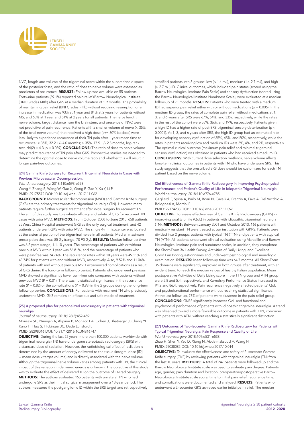

NVC, length and volume of the trigeminal nerve within the subarachnoid space of the posterior fossa, and the ratio of dose to nerve volume were assessed as predictors of recurrence. RESULTS: Follow-up was available on 55 patients. Forty-nine patients (89.1%) reported pain relief (Barrow Neurological Institute [BNI] Grades I-IIIb) after GKS at a median duration of 1.9 months. The probability of maintaining pain relief (BNI Grades I-IIIb) without requiring resumption or an increase in medication was 93% at 1 year and 84% at 2 years for patients without MS, and 68% at 1 year and 51% at 2 years for all patients. The nerve length, nerve volume, target distance from the brainstem, and presence of NVC were not predictive of pain recurrence. Patients with a smaller volume of nerve (< 35% of the total nerve volume) that received a high dose (>/= 80% isodose) were less likely to experience recurrence of their TN pain after 1 year (mean time to recurrence: < 35%, 32.2 +/- 4.0 months; > 35%, 17.9 +/- 2.8 months, log-rank test,  $\text{chi}(2) = 4.3$ ,  $p = 0.039$ . **CONCLUSIONS:** The ratio of dose to nerve volume may predict recurrence of TN pain after GKS. Prospective studies are needed to determine the optimal dose to nerve volume ratio and whether this will result in longer pain-free outcomes.

#### [24] Gamma Knife Surgery for Recurrent Trigeminal Neuralgia in Cases with Previous Microvascular Decompression.

#### *World neurosurgery*. 2018;110:e593-e598

Wang Y, Zhang S, Wang W, Gao X, Gong F, Gao Y, Xu Y, Li P PMID: 29175572 DOI: 10.1016/j.wneu.2017.11.062

BACKGROUND: Microvascular decompression (MVD) and Gamma Knife surgery (GKS) are the primary treatments for trigeminal neuralgia (TN). However, many patients require further surgical treatment after initial surgery for recurrent TN. The aim of this study was to evaluate efficacy and safety of GKS for recurrent TN cases with prior MVD. METHODS: From October 2008 to June 2015, 658 patients at West China Hospital underwent GKS as the only surgical treatment, and 42 patients underwent GKS with prior MVD. The single 4-mm isocenter was located at the cisternal portion of the trigeminal nerve in all patients. Median maximum prescription dose was 85 Gy (range, 70-90 Gy). RESULTS: Median follow-up time was 6.2 years (range, 1.1-10 years). The percentage of patients with or without previous MVD within 1 year was 56.81%, and the percentage of patients who were pain-free was 74.74%. The recurrence rates within 10 years were 49.11% and 43.74% for patients with and without MVD, respectively. Also, 9.52% and 11.04% of patients with and without previous MVD experienced complications as a result of GKS during the long-term follow-up period. Patients who underwent previous MVD showed a significantly lower pain-free rate compared with patients without previous MVD ( $P = 0.01$ ). There was no statistical significance in the recurrence rate ( $P = 0.82$ ) or the complications ( $P = 0.93$ ) in the 2 groups during the long-term follow-up period. **CONCLUSIONS:** For patients with recurrent TN who previously underwent MVD, GKS remains an efficacious and safe mode of treatment.

#### [25] A proposed plan for personalized radiosurgery in patients with trigeminal neuralgia

#### *Journal of neurosurgery*. 2018;128(2):452-459

Mousavi SH, Niranjan A, Akpinar B, Monaco EA, Cohen J, Bhatnagar J, Chang YF, Kano H, Huq S, Flickinger JC, Dade Lunsford L

PMID: 28298016 DOI: 10.3171/2016.10.JNS16747

OBJECTIVE: During the last 25 years, more than 100,000 patients worldwide with trigeminal neuralgia (TN) have undergone stereotactic radiosurgery (SRS) with a standard dose of radiation. However, the radiobiological effect of radiation is determined by the amount of energy delivered to the tissue (integral dose [ID] = mean dose x target volume) and is directly associated with the nerve volume. Although the trigeminal nerve volume varies among patients with TN, the clinical impact of this variation in delivered energy is unknown. The objective of this study was to evaluate the effect of delivered ID on the outcome of TN radiosurgery. METHODS: The authors evaluated 155 patients with unilateral TN who had undergone SRS as their initial surgical management over a 13-year period. The authors measured the postganglionic ID within the SRS target and retrospectively

stratified patients into 3 groups: low (< 1.4 mJ), medium (1.4-2.7 mJ), and high (> 2.7 mJ) ID. Clinical outcomes, which included pain status (scored using the Barrow Neurological Institute Pain Scale) and sensory dysfunction (scored using the Barrow Neurological Institute Numbness Scale), were evaluated at a median follow-up of 71 months. RESULTS: Patients who were treated with a medium ID had superior pain relief either with or without medications ( $p = 0.006$ ). In the medium ID group, the rates of complete pain relief without medications at 1, 3, and 6 years after SRS were 67%, 54%, and 33%, respectively, while the rates in the rest of the cohort were 55%, 36%, and 19%, respectively. Patients given a high ID had a higher rate of post-SRS trigeminal sensory deterioration (p < 0.0001). At 1, 3, and 6 years after SRS, the high ID group had an estimated rate for developing sensory dysfunction of 35%, 45%, and 50%, respectively, while the rates in patients receiving low and medium IDs were 3%, 4%, and 9%, respectively. The optimal clinical outcome (maximum pain relief and minimal trigeminal sensory dysfunction) was obtained in patients who had received a medium ID. CONCLUSIONS: With current dose selection methods, nerve volume affects long-term clinical outcomes in patients with TN who have undergone SRS. This study suggests that the prescribed SRS dose should be customized for each TN patient based on the nerve volume.

#### [26] Effectiveness of Gamma Knife Radiosurgery in Improving Psychophysical Performance and Patient's Quality of Life in Idiopathic Trigeminal Neuralgia. *World neurosurgery*. 2018;110:e776-e785

Gagliardi F, Spina A, Bailo M, Boari N, Cavalli A, Franzin A, Fava A, Del Vecchio A, Bolognesi A, Mortini P

PMID: 29174233 DOI: 10.1016/j.wneu.2017.11.096

OBJECTIVE: To assess effectiveness of Gamma Knife Radiosurgery (GKRS) in improving quality of life (QoL) in patients with idiopathic trigeminal neuralgia (TN). METHODS: Between January 2001 and October 2013, 166 patients with medically resistant TN were treated at our institution with GKRS. Patients were divided into 2 groups: patients with typical TN (TTN) and patients with atypical TN (ATN). All patients underwent clinical evaluation using Marseille and Barrow Neurological Institute pain and numbness scales; in addition, they completed the Short-Form 36 Health Survey, Activities of Daily Living, and Excellent Good Fair Poor questionnaires and underwent psychological and neurologic examination. RESULTS: Mean follow-up time was 64.7 months. All Short-Form 36 domains were significantly improved in both groups after treatment, with an evident trend to reach the median values of healthy Italian population. Mean postoperative Activities of Daily Living score in the TTN group and ATN group were 5.8 and 5.4, respectively, and Karnofsky Performance Status increased to 94.2 and 86.4, respectively. Pain recurrence negatively affected patients' QoL and psychofunctional performance without reaching statistical significance. At the last follow-up, 73% of patients were clustered in the pain-relief group. CONCLUSIONS: GKRS significantly improves QoL and functional and psychosocial performance of patients with idiopathic trigeminal neuralgia. A trend was observed toward a more favorable outcome in patients with TTN, compared with patients with ATN, without reaching a statistically significant distinction.

#### [27] Outcomes of Two-Isocenter Gamma Knife Radiosurgery for Patients with Typical Trigeminal Neuralgia: Pain Response and Quality of Life. *World neurosurgery*. 2018;109:e531-e538

Zhao H, Shen Y, Yao D, Xiong N, Abdelmaksoud A, Wang H PMID: 29038085 DOI: 10.1016/j.wneu.2017.10.014

OBJECTIVE: To evaluate the effectiveness and safety of 2-isocenter Gamma Knife surgery (GKS) by reviewing patients with trigeminal neuralgia (TN) from the last 10 years. **METHODS:** A total of 247 patients were followed up and the Barrow Neurological Institute scale was used to evaluate pain degree. Patients' age, gender, pain duration and location, preoperative/postoperative Barrow Neurological Institute scale score, time to initial pain relief, recurrence time, and complications were documented and analyzed. RESULTS: Patients who underwent a 2-isocenter GKS achieved earlier initial pain relief. The median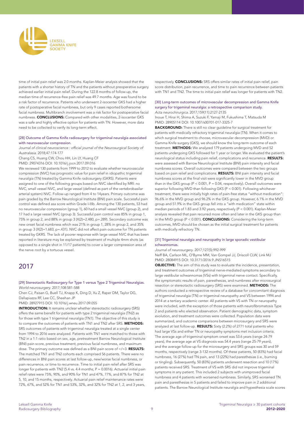

time of initial pain relief was 2.0 months. Kaplan-Meier analysis showed that the patients with a shorter history of TN and the patients without preoperative surgery achieved earlier initial pain relief. During the 122.8 months of follow-up, the median time of recurrence-free pain relief was 49.7 months. Age was found to be a risk factor of recurrence. Patients who underwent 2-isocenter GKS had a higher rate of postoperative facial numbness, but only 9 cases reported bothersome facial numbness. Multibranch involvement was a risk factor for postoperative facial numbness. CONCLUSIONS: Compared with other modalities, 2-isocenter GKS was a safe and highly effective option for patients with TN. However, more data need to be collected to verify its long-term effect.

#### [28] Outcome of Gamma Knife radiosurgery for trigeminal neuralgia associated with neurovascular compression.

Journal of clinical neuroscience : official journal of the Neurosurgical Society *of Australasia*. 2018;47:174-177

Chang CS, Huang CW, Chou HH, Lin LY, Huang CF

PMID: 29074316 DOI: 10.1016/j.jocn.2017.09.016

We reviewed 130 patients from 1999 to 2012 to evaluate whether neurovascular compression (NVC) has prognostic value for pain relief in idiopathic trigeminal neuralgia (TN) treated by Gamma Knife radiosurgery (GKRS). Patients were assigned to one of the following groups based on NVC identified by MRI: no NVC, small vessel NVC, and large vessel (defined as part of the vertebrobasilar arterial system) NVC. Follow-up ranged from 4 to 14years. Primary outcome was pain graded by the Barrow Neurological Institute (BNI) pain scale. Successful pain control was defined asa score within Grade I-IIIb. Among the 130 patients, 53 had no neurovascular compression (group 1), 60 had a small vessel NVC (group 2), and 17 had a large vessel NVC (group 3). Successful pain control was 85% in group 1, 75% in group 2, and 88% in group 3 (X(2)=2.480, p=.289). Secondary outcome was new onset facial numbness which was 21% in group 1, 28% in group 2, and 35% in group 3 (X(2)=1.683, p=.431). NVC did not affect pain outcome for TN patients treated by GKRS. The lack of poorer response with large vessel NVC that has been reported in literature may be explained by treatment of multiple 4mm shots (as opposed to a single shot in 11/17 patients) to cover a larger compression area of the nerve root by a tortuous vessel.

## 2017

#### [29] Stereotactic Radiosurgery for Type 1 versus Type 2 Trigeminal Neuralgias. *World neurosurgery*. 2017;108:581-588

Chen CJ, Paisan G, Buell TJ, Knapp K, Ding D, Xu Z, Raper DM, Taylor DG, Dallapiazza RF, Lee CC, Sheehan JP

PMID: 28927915 DOI: 10.1016/j.wneu.2017.09.055

INTRODUCTION: It remains unclear whether stereotactic radiosurgery (SRS) offers the same benefit for patients with type 2 trigeminal neuralgia (TN2) as for those with type 1 trigeminal neuralgia (TN1). The objective of this study is to compare the outcomes of patients with TN1 and TN2 after SRS. METHODS: SRS outcomes of patients with trigeminal neuralgia treated at a single center from 1994 to 2016 were analyzed. Patients with TN1 were matched to those with TN2 in a 1:1 ratio based on sex, age, pretreatment Barrow Neurological Institute (BNI) pain score, previous treatment, previous facial numbness, and maximum dose. The primary outcome was defined as a BNI pain score of  $\leq$ /=3. **RESULTS:** The matched TN1 and TN2 cohorts each comprised 56 patients. There were no differences in BNI pain scores at last follow-up, new/worse facial numbness, or pain recurrence, or time to recurrence. Time to initial pain relief after SRS was longer for patients with TN2 (5.4 vs. 4.4 months;  $P = 0.0016$ ). Actuarial initial pain relief rates were 75%, 90%, and 90% for TN1 and 47%, 77%, and 87% for TN2 at 5, 10, and 15 months, respectively. Actuarial pain relief maintenance rates were 72%, 67%, and 52% for TN1 and 53%, 32%, and 32% for TN2 at 1, 2, and 3 years, respectively. **CONCLUSIONS:** SRS offers similar rates of initial pain relief, pain score distribution, pain recurrence, and time to pain recurrence between patients with TN1 and TN2. The time to initial pain relief was longer for patients with TN2.

#### [30] Long-term outcomes of microvascular decompression and Gamma Knife surgery for trigeminal neuralgia: a retrospective comparison study. Acta neurochirurgica. 2017;159(11):2127-2135

Inoue T, Hirai H, Shima A, Suzuki F, Yamaji M, Fukushima T, Matsuda M PMID: 28905114 DOI: 10.1007/s00701-017-3325-7

**BACKGROUND:** There is still no clear quideline for surgical treatment for patients with medically refractory trigeminal neuralgia (TN). When it comes to which surgical treatment to choose, microvascular decompression (MVD) or Gamma Knife surgery (GKS), we should know the long-term outcome of each treatment. METHODS: We analyzed 179 patients undergoing MVD and 52 patients undergoing GKS followed for 1 year or longer. We evaluated the patient's neurological status including pain relief, complications and recurrence. RESULTS: were assessed with Barrow Neurological Institute (BNI) pain intensity and facial numbness scores. Overall outcomes were compared between the two groups based on pain relief and complications. RESULTS: BNI pain intensity and facial numbness scores at the final visit were significantly lower in the MVD group than in the GKS group ( $P < 0.001$ ,  $P = 0.04$ , respectively). Overall outcomes were superior following MVD than following GKS (P < 0.001). Following whichever treatment, there were initially high rates of pain-free status "without medication": 96.6% in the MVD group and 96.2% in the GKS group. However, 6.1% in the MVD group and 51.9% in the GKS group fell into a "with medication" state within median periods of 1.83 and 3.92 years, respectively (P < 0.001). Kaplan-Meier analysis revealed that pain recurred more often and later in the GKS group than in the MVD group ( $P < 0.001$ ). **CONCLUSIONS:** Considering the long-term outcomes, MVD should be chosen as the initial surgical treatment for patients with medically refractory TN.

#### [31] Trigeminal neuralgia and neuropathy in large sporadic vestibular schwannomas.

*Journal of neurosurgery*. 2017;127(5):992-999 Neff BA, Carlson ML, O'Byrne MM, Van Gompel JJ, Driscoll CLW, Link MJ PMID: 28084915 DOI: 10.3171/2016.9.JNS16515

OBJECTIVE: The aim of this study was to evaluate the incidence, presentation, and treatment outcomes of trigeminal nerve-mediated symptoms secondary to large vestibular schwannomas (VSs) with trigeminal nerve contact. Specifically, the symptomatic results of pain, paresthesias, and numbness after microsurgical resection or stereotactic radiosurgery (SRS) were examined. METHODS: The authors conducted a retrospective review of a database for concomitant diagnosis of trigeminal neuralgia (TN) or trigeminal neuropathy and VS between 1994 and 2014 at a tertiary academic center. All patients with VS with TN or neuropathy were included, with the exception of those patients with neurofibromatosis Type 2 and patients who elected observation. Patient demographic data, symptom evolution, and treatment outcomes were collected. Population data were summarized, and outcome comparisons between microsurgery and SRS were analyzed at last follow-up. **RESULTS:** Sixty (2.2%) of 2771 total patients who had large VSs and either TN or neuropathy symptoms met inclusion criteria. The average age of trigeminal symptom onset was 53.6 years (range 24-79 years), the average age at VS diagnosis was 54.4 years (range 25-79 years), and the average follow-up for the microsurgery and SRS groups was 30 and 59 months, respectively (range 3-132 months). Of these patients, 50 (83%) had facial numbness, 16 (27%) had TN pain, and 13 (22%) had paresthesias (i.e., burning or tingling). Subsequently, 50 (83%) patients underwent resection and 10 (17%) patients received SRS. Treatment of VS with SRS did not improve trigeminal symptoms in any patient. This included 2 subjects with unimproved facial numbness and 4 patients with worsened numbness. Similarly, SRS worsened TN pain and paresthesias in 5 patients and failed to improve pain in 2 additional patients. The Barrow Neurological Institute neuralgia and hypesthesia scale scores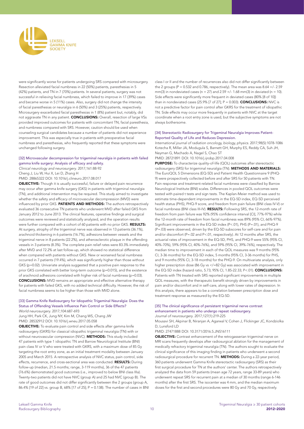

were significantly worse for patients undergoing SRS compared with microsurgery. Resection alleviated facial numbness in 22 (50%) patients, paresthesias in 5 (42%) patients, and TN in 7 (70%) patients. In several patients, surgery was not successful in relieving facial numbness, which failed to improve in 17 (39%) cases and became worse in 5 (11%) cases. Also, surgery did not change the intensity of facial paresthesias or neuralgia in 6 (50%) and 3 (25%) patients, respectively. Microsurgery exacerbated facial paresthesias in 1 (8%) patient but, notably, did not aggravate TN in any patient. CONCLUSIONS: Overall, resection of large VSs provided improved outcomes for patients with concomitant TN, facial paresthesia, and numbness compared with SRS. However, caution should be used when counseling surgical candidates because a number of patients did not experience improvement. This was especially true in patients with preoperative facial numbness and paresthesias, who frequently reported that these symptoms were unchanged following surgery.

#### [32] Microvascular decompression for trigeminal neuralgia in patients with failed gamma knife surgery: Analysis of efficacy and safety.

*Clinical neurology and neurosurgery*. 2017;161:88-92 Cheng J, Liu W, Hui X, Lei D, Zhang H

PMID: 28865322 DOI: 10.1016/j.clineuro.2017.08.017

OBJECTIVE: Though it is usually successful, failure or delayed pain recurrence may occur after gamma knife surgery (GKS) in patients with trigeminal neuralgia (TN), and additional intervention may be required. This study aimed to investigate whether the safety and efficacy of microvascular decompression (MVD) were influenced by prior GKS. PATIENTS AND METHODS: The authors retrospectively evaluated 36 consecutive TN patients who underwent MVD after failed GKS from January 2012 to June 2013. The clinical features, operative findings and surgical outcomes were reviewed and statistically analyzed, and the operation results were further compared with a cohort of 60 patients with no prior GKS. RESULTS: At surgery, atrophy of the trigeminal nerve was observed in 13 patients (36.1%), arachnoid thickening in 6 patients (16.7%), adhesions between vessels and the trigeminal nerve in 8 patients (22.2%), and atherosclerotic plaque in the offending vessels in 3 patients (8.3%). The complete pain relief rates were 83.3% immediately after MVD and 72.2% at last follow-up, which showed no statistical difference when compared with patients without GKS. New or worsened facial numbness occurred in 7 patients (19.4%), which was significantly higher than those without GKS (p=0.02). Univariate analysis suggested that a positive pain response to the prior GKS correlated with better long-term outcome (p=0.015), and the existence of arachnoid adhesions correlated with higher risk of facial numbness (p=0.03). CONCLUSIONS: MVD remains an appropriate and effective alternative therapy for patients with failed GKS, with no added technical difficulty. However, the risk of facial numbness seems to be higher than those with MVD alone.

#### [33] Gamma Knife Radiosurgery for Idiopathic Trigeminal Neuralgia: Does the Status of Offending Vessels Influence Pain Control or Side Effects?

*World neurosurgery*. 2017;104:687-693 Jung HH, Park CK, Jung NY, Kim M, Chang WS, Chang JW PMID: 28532912 DOI: 10.1016/j.wneu.2017.05.058

OBJECTIVE: To evaluate pain control and side effects after gamma knife radiosurgery (GKRS) for classical idiopathic trigeminal neuralgia (TN) with or without neurovascular compression (NVC). METHODS: This study included 47 patients with type 1 idiopathic TN and Barrow Neurological Institute (BNI) pain class IV or V who were treated with GKRS, with a maximum dose of 85 Gy targeting the root entry zone, as an initial treatment modality between January 2005 and March 2015. A retrospective analysis of NVC status, pain control, side effects, recurrence, and cross-sectional area was conducted. RESULTS: During follow-up (median, 21.5 months; range, 3-119 months), 36 of the 47 patients (76.6%) demonstrated good outcomes (i.e., improved to below BNI class IIIa). Twenty-two patients did not have NVC (group A) and 25 had NVC (group B). The rate of good outcomes did not differ significantly between the 2 groups (group A, 86.4% [19 of 22] vs. group B, 68% [17 of 25]; P = 0.138). The number of cases in BNI class I or II and the number of recurrences also did not differ significantly between the 2 groups (P =  $0.532$  and  $0.786$ , respectively). The mean area was  $8.64 +/- 2.59$ mm(3) in nondeviated cases (n = 27) and 2.59  $+/$ - 1.68 mm(3) in deviated (n = 10). Side effects were significantly more frequent in deviated cases (80% [8 of 10]) than in nondeviated cases (25.9% [7 of 27];  $P = 0.003$ ). **CONCLUSIONS:** NVC is not a predictive factor for pain control after GKRS for the treatment of idiopathic TN. Side effects may occur more frequently in patients with NVC at the target coordinate when a root entry zone is used, but the subjective symptoms are not always bothersome.

#### [34] Stereotactic Radiosurgery for Trigeminal Neuralgia Improves Patient-Reported Quality of Life and Reduces Depression.

International journal of radiation oncology, biology, physics. 2017;98(5):1078-1086 Kotecha R, Miller JA, Modugula S, Barnett GH, Murphy ES, Reddy CA, Suh JH, Neyman G, Machado A, Nagel S, Chao ST

PMID: 28721891 DOI: 10.1016/j.ijrobp.2017.04.008 PURPOSE: To characterize quality-of-life (QOL) outcomes after stereotactic radiosurgery (SRS) for trigeminal neuralgia (TN). METHODS AND MATERIALS: The EuroQOL 5 Dimensions (EQ-5D) and Patient Health Questionnaire 9 (PHQ-9) were prospectively collected before and after SRS for 50 patients with TN. Pain response and treatment-related facial numbness were classified by Barrow Neurological Institute (BNI) scales. Differences in pooled QOL outcomes were tested with paired t tests and sign tests. The Kaplan-Meier method was used to estimate time-dependent improvements in the EQ-5D index, EQ-5D perceived health status (PHS), PHQ-9 score, and freedom from pain failure (BNI class IV-V) or facial numbness (BNI class III-IV). RESULTS: Following SRS, the 12-month rate of freedom from pain failure was 92% (95% confidence interval [CI], 77%-97%) while the 12-month rate of freedom from facial numbness was 89% (95% CI, 66%-97%). Significant improvements in the EQ-5D index (P<.01), PHS (P=.01), and PHQ-9 (P=.03) were observed, driven by the EQ-5D subscores for self-care and for pain and/or discomfort (P=.02 and P<.01, respectively). At 12 months after SRS, the actuarial rates of improvement in the EQ-5D, PHS, and PHQ-9 were 55% (95% CI, 40%-70%), 59% (95% CI, 40%-76%), and 59% (95% CI, 39%-76%), respectively. The median time to improvement in each of the QOL measures was 9 months (95% CI, 3-36 months) for the EQ-5D index, 5 months (95% CI, 3-36 months) for PHS, and 9 months (95% CI, 3-18 months) for the PHQ-9. On multivariate analysis, only higher prescription dose (86 Gy vs </=82 Gy) was associated with improvement in the EQ-5D index (hazard ratio, 5.73; 95% CI, 1.85-22.33; P<.01). CONCLUSIONS: Patients with TN treated with SRS reported significant improvements in multiple QOL measures, with the therapeutic benefit strongly driven by improvements in pain and/or discomfort and in self-care, along with lower rates of depression. In this analysis, there appears to be a correlation between prescription dose and treatment response as measured by the EQ-5D.

#### [35] The clinical significance of persistent trigeminal nerve contrast enhancement in patients who undergo repeat radiosurgery. *Journal of neurosurgery*. 2017;127(1):219-225

Mousavi SH, Akpinar B, Niranjan A, Agarwal V, Cohen J, Flickinger JC, Kondziolka D, Lunsford LD

PMID: 27471888 DOI: 10.3171/2016.5.JNS16111

OBJECTIVE: Contrast enhancement of the retrogasserian trigeminal nerve on MRI scans frequently develops after radiosurgical ablation for the management of medically refractory trigeminal neuralgia (TN). The authors sought to evaluate the clinical significance of this imaging finding in patients who underwent a second radiosurgical procedure for recurrent TN. METHODS: During a 22-year period, 360 patients underwent Gamma Knife stereotactic radiosurgery (SRS) as their first surgical procedure for TN at the authors' center. The authors retrospectively analyzed the data from 59 patients (mean age 72 years, range 33-89 years) who underwent repeat SRS for recurrent pain at a median of 30 months (range 6-146 months) after the first SRS. The isocenter was 4 mm, and the median maximum doses for the first and second procedures were 80 Gy and 70 Gy, respectively.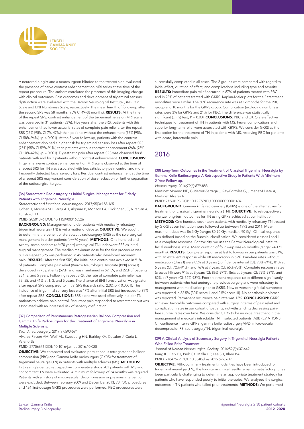

A neuroradiologist and a neurosurgeon blinded to the treated side evaluated the presence of nerve contrast enhancement on MRI series at the time of the repeat procedure. The authors correlated the presence of this imaging change with clinical outcomes. Pain outcomes and development of trigeminal sensory dysfunction were evaluated with the Barrow Neurological Institute (BNI) Pain Scale and BNI Numbness Scale, respectively. The mean length of follow-up after the second SRS was 58 months (95% CI 49-68 months). RESULTS: At the time of the repeat SRS, contrast enhancement of the trigeminal nerve on MRI scans was observed in 31 patients (53%). Five years after the SRS, patients with this enhancement had lower actuarial rates of complete pain relief after the repeat SRS (27% [95% CI 7%-47%]) than patients without the enhancement (76% [95% CI 58%-94%]) (p < 0.001). At the 5-year follow-up, patients with the contrast enhancement also had a higher risk for trigeminal sensory loss after repeat SRS (75% [95% CI 59%-91%]) than patients without contrast enhancement (26% [95% CI 10%-42%]) (p = 0.001). Dysesthetic pain after repeat SRS was observed for 8 patients with and for 2 patients without contrast enhancement. CONCLUSIONS: Trigeminal nerve contrast enhancement on MRI scans observed at the time of a repeat SRS for TN was associated with less satisfactory pain control and more frequently detected facial sensory loss. Residual contrast enhancement at the time of a repeat SRS may warrant consideration of dose reduction or further separation of the radiosurgical targets.

#### [36] Stereotactic Radiosurgery as Initial Surgical Management for Elderly Patients with Trigeminal Neuralgia.

*Stereotactic and functional neurosurgery*. 2017;95(3):158-165

Cohen J, Mousavi SH, Faraji AH, Akpinar B, Monaco EA, Flickinger JC, Niranjan A, Lunsford LD

PMID: 28501876 DOI: 10.1159/000468526

BACKGROUND: Management of older patients with medically refractory trigeminal neuralgia (TN) is yet a matter of debate. OBJECTIVE: We sought to determine the benefit of stereotactic radiosurgery (SRS) as the sole surgical management in older patients (>/=70 years). METHODS: One hundred and twenty-seven patients (>/=70 years) with typical TN underwent SRS as initial surgical management. The median maximum dose for the first procedure was 80 Gy. Repeat SRS was performed in 46 patients who developed recurrent pain. RESULTS: After the first SRS, the initial pain control was achieved in 91% of patients. Complete pain relief (Barrow Neurological Institute [BNI] score I) developed in 75 patients (59%) and was maintained in 59, 39, and 22% of patients at 1, 3, and 5 years. Following repeat SRS, the rate of complete pain relief was 79, 55, and 41% at 1, 3, and 5 years. The chance of BNI I preservation was greater after repeat SRS compared to initial SRS (hazards ratio: 2.02, p < 0.0001). The incidence of trigeminal sensory loss was 17% after initial SRS but increased to 39% after repeat SRS. CONCLUSIONS: SRS alone was used effectively in older TN patients to achieve pain control. Recurrent pain responded to retreatment but was associated with an increased risk of sensory dysfunction.

#### [37] Comparison of Percutaneous Retrogasserian Balloon Compression and Gamma Knife Radiosurgery for the Treatment of Trigeminal Neuralgia in Multiple Sclerosis.

*World neurosurgery*. 2017;97:590-594

Alvarez-Pinzon AM, Wolf AL, Swedberg HN, Barkley KA, Cucalon J, Curia L, Valerio JE

PMID: 27756676 DOI: 10.1016/j.wneu.2016.10.028

OBJECTIVE: We compared and evaluated percutaneous retrogasserian balloon compression (PBC) and Gamma Knife radiosurgery (GKRS) for treatment of trigeminal neuralgia (TN) in patients with multiple sclerosis (MS). **METHODS:** In this single-center, retrospective comparative study, 202 patients with MS and concomitant TN were evaluated. A minimum follow-up of 24 months was required. Patients with a history of microvascular decompression or previous intervention were excluded. Between February 2009 and December 2013, 78 PBC procedures and 124 first-dosage GKRS procedures were performed. PBC procedures were

successfully completed in all cases. The 2 groups were compared with regard to initial effect, duration of effect, and complications including type and severity. RESULTS: Immediate pain relief occurred in 87% of patients treated with PBC and in 23% of patients treated with GKRS. Kaplan-Meier plots for the 2 treatment modalities were similar. The 50% recurrence rate was at 12 months for the PBC group and 18 months for the GKRS group. Complication (excluding numbness) rates were 3% for GKRS and 21% for PBC. The difference was statistically significant (chi(2) test,  $P = 0.03$ ). **CONCLUSIONS:** PBC and GKRS are effective techniques for treatment of TN in patients with MS. Fewer complications and superior long-term relief were associated with GKRS. We consider GKRS as the first option for the treatment of TN in patients with MS, reserving PBC for patients with acute, intractable pain.

# 2016

#### [38] Long-Term Outcomes in the Treatment of Classical Trigeminal Neuralgia by Gamma Knife Radiosurgery: A Retrospective Study in Patients With Minimum 2-Year Follow-up.

*Neurosurgery*. 2016;79(6):879-888

Martinez Moreno NE, Gutierrez-Sarraga J, Rey-Portoles G, Jimenez-Huete A, Martinez Alvarez R

PMID: 27560193 DOI: 10.1227/NEU.0000000000001404

**BACKGROUND:** Gamma knife radiosurgery (GKRS) is one of the alternatives for treatment for classical trigeminal neuralgia (TN). OBJECTIVE: To retrospectively analyze long-term outcomes for TN using GKRS achieved at our institution. METHODS: One hundred seventeen patients with medically refractory TN treated by GKRS at our institution were followed up between 1993 and 2011. Mean maximum dose was 86.5 Gy (range: 80-90 Gy; median: 90 Gy). Clinical response was defined based on the Burchiel classification. We considered classes I and II as a complete response. For toxicity, we use the Barrow Neurological Institute facial numbness scale. Mean duration of follow-up was 66 months (range: 24-171 months). RESULTS: Complete response at last follow-up in our patients was 81%, with an excellent response while off medication in 52%. Pain-free rates without medication (class I) were 85% at 3 years (confidence interval [CI]: 78%-94%), 81% at 5 years (CI: 72%-91%), and 76% at 7 years (CI: 65%-90%). Complete response rates (classes I-II) were 91% at 3 years (CI: 86%-97%), 86% at 5 years (CI: 79%-93%), and 82% at 7 years (CI: 72%-93%). Poor treatment response rates differed significantly between patients who had undergone previous surgery and were refractory to management with medication prior to GKRS. New or worsening facial numbness was reported in 32.5% (30% score II and 2.5% score III). No anesthesia dolorosa was reported. Permanent recurrence pain rate was 12%. **CONCLUSION:** GKRS achieved favorable outcomes compared with surgery in terms of pain relief and complication rates in our cohort of patients, notwithstanding decreasing painfree survival rates over time. We consider GKRS to be an initial treatment in the management of medically intractable TN in selected patients. ABBREVIATIONS: CI, confidence intervalGKRS, gamma knife radiosurgeryMVD, microvascular decompressionRS, radiosurgeryTN, trigeminal neuralgia.

#### [39] A Clinical Analysis of Secondary Surgery in Trigeminal Neuralgia Patients Who Failed Prior Treatment.

*Journal of Korean Neurosurgical Society*. 2016;59(6):637-642 Kang IH, Park BJ, Park CK, Malla HP, Lee SH, Rhee BA PMID: 27847579 DOI: 10.3340/jkns.2016.59.6.637

OBJECTIVE: Although many treatment modalities have been introduced for trigeminal neuralgia (TN), the long-term clinical results remain unsatisfactory. It has been particularly challenging to determine an appropriate treatment strategy for patients who have responded poorly to initial therapies. We analyzed the surgical outcomes in TN patients who failed prior treatments. METHODS: We performed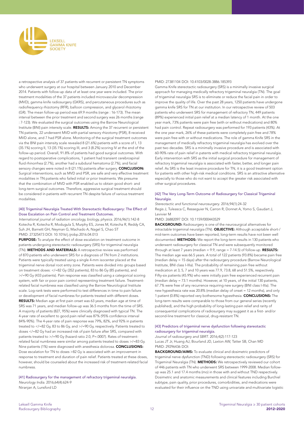

a retrospective analysis of 37 patients with recurrent or persistent TN symptoms who underwent surgery at our hospital between January 2010 and December 2014. Patients with follow-up data of at least one year were included. The prior treatment modalities of the 37 patients included microvascular decompression (MVD), gamma knife radiosurgery (GKRS), and percutaneous procedures such as radiofrequency rhizotomy (RFR), balloon compression, and glycerol rhizotomy (GR). The mean follow-up period was 69.9 months (range : 16-173). The mean interval between the prior treatment and second surgery was 26 months (range : 7-123). We evaluated the surgical outcomes using the Barrow Neurological Institute (BNI) pain intensity scale. RESULTS: Among the 37 recurrent or persistent TN patients, 22 underwent MVD with partial sensory rhizotomy (PSR), 8 received MVD alone, and 7 had PSR alone. Monitoring of the surgical treatment outcomes via the BNI pain intensity scale revealed 8 (21.6%) patients with a score of I, 13 (35.1%) scoring II, 13 (35.1%) scoring III, and 3 (8.2%) scoring IV at the end of the follow-up period. Overall, 91.8% of patients had good surgical outcomes. With regard to postoperative complications, 1 patient had transient cerebrospinal fluid rhinorrhea (2.7%), another had a subdural hematoma (2.7%), and facial sensory changes were noted in 8 (21.1%) patients after surgery. CONCLUSION: Surgical interventions, such as MVD and PSR, are safe and very effective treatment modalities in TN patients who failed initial or prior treatments. We presume that the combination of MVD with PSR enabled us to obtain good short- and long-term surgical outcomes. Therefore, aggressive surgical treatment should be considered in patients with recurrent TN despite failure of various treatment modalities.

#### [40] Trigeminal Neuralgia Treated With Stereotactic Radiosurgery: The Effect of Dose Escalation on Pain Control and Treatment Outcomes.

International journal of radiation oncology, biology, physics. 2016;96(1):142-8 Kotecha R, Kotecha R, Modugula S, Murphy ES, Jones M, Kotecha R, Reddy CA, Suh JH, Barnett GH, Neyman G, Machado A, Nagel S, Chao ST PMID: 27325473 DOI: 10.1016/j.ijrobp.2016.04.013

PURPOSE: To analyze the effect of dose escalation on treatment outcome in patients undergoing stereotactic radiosurgery (SRS) for trigeminal neuralgia (TN). METHODS AND MATERIALS: A retrospective review was performed of 870 patients who underwent SRS for a diagnosis of TN from 2 institutions. Patients were typically treated using a single 4-mm isocenter placed at the trigeminal nerve dorsal root entry zone. Patients were divided into groups based on treatment doses: </=82 Gy (352 patients), 83 to 86 Gy (85 patients), and >/=90 Gy (433 patients). Pain response was classified using a categorical scoring system, with fair or poor pain control representing treatment failure. Treatmentrelated facial numbness was classified using the Barrow Neurological Institute scale. Log-rank tests were performed to test differences in time to pain failure or development of facial numbness for patients treated with different doses. RESULTS: Median age at first pain onset was 63 years, median age at time of SRS was 71 years, and median follow-up was 36.5 months from the time of SRS. A majority of patients (827, 95%) were clinically diagnosed with typical TN. The 4-year rate of excellent to good pain relief was 87% (95% confidence interval 84%-90%). The 4-year rate of pain response was 79%, 82%, and 92% in patients treated to </=82 Gy, 83 to 86 Gy, and >/=90 Gy, respectively. Patients treated to doses </=82 Gy had an increased risk of pain failure after SRS, compared with patients treated to >/=90 Gy (hazard ratio 2.0, P=.0007). Rates of treatmentrelated facial numbness were similar among patients treated to doses >/=83 Gy. Nine patients (1%) were diagnosed with anesthesia dolorosa. CONCLUSIONS: Dose escalation for TN to doses >82 Gy is associated with an improvement in response to treatment and duration of pain relief. Patients treated at these doses, however, should be counseled about the increased risk of treatment-related facial numbness.

[41] Radiosurgery for the management of refractory trigeminal neuralgia. *Neurology India*. 2016;64(4):624-9

Niranjan A, Lunsford LD

PMID: 27381104 DOI: 10.4103/0028-3886.185393

Gamma Knife stereotactic radiosurgery (SRS) is a minimally invasive surgical approach for managing medically refractory trigeminal neuralgia (TN). The goal of trigeminal neuralgia SRS is to eliminate or reduce the facial pain in order to improve the quality of life. Over the past 28 years, 1250 patients have undergone gamma knife SRS for TN at our institution. In our retrospective review of 503 patients who underwent SRS for management of refractory TN, 449 patients (89%) experienced initial pain relief at a median latency of 1 month. At the one year mark, 73% patients were pain free (with or without medications) and 80% had pain control. Repeat radiosurgery was performed for 193 patients (43%). At the one year mark, 26% of these patients were completely pain free and 78% were pain free with or without medications. The role of gamma Knife SRS in the management of medically refractory trigeminal neuralgia has evolved over the past two decades. SRS is a minimally invasive procedure and is associated with 60-90% rate of pain relief in patents with medical refractory trigeminal neuralgia. Early intervention with SRS as the initial surgical procedure for management of refractory trigeminal neuralgia is associated with faster, better, and longer pain relief. As SRS is the least invasive procedure for TN, it is a good treatment option for patients with other high-risk medical conditions. SRS is an attractive alternative especially to those who do not want to accept the greater risk associated with other surgical procedures.

#### [42] The Very Long-Term Outcome of Radiosurgery for Classical Trigeminal Neuralgia.

*Stereotactic and functional neurosurgery*. 2016;94(1):24-32

Regis J, Tuleasca C, Resseguier N, Carron R, Donnet A, Yomo S, Gaudart J, Levivier M

PMID: 26882097 DOI: 10.1159/000443529

**BACKGROUND:** Radiosurgery is one of the neurosurgical alternatives for intractable trigeminal neuralgia (TN). OBJECTIVE: Although acceptable short-/ mid-term outcomes have been reported, long-term results have not been well documented. METHODS: We report the long-term results in 130 patients who underwent radiosurgery for classical TN and were subsequently monitored through at least 7 years (median =  $9.9$ , range =  $7-14.5$ ) of follow-up. **RESULTS:** The median age was 66.5 years. A total of 122 patients (93.8%) became pain free (median delay = 15 days) after the radiosurgery procedure (Barrow Neurological Institute, BNI class I-IIIa). The probability of remaining pain free without medication at 3, 5, 7 and 10 years was 77.9, 73.8, 68 and 51.5%, respectively. Fifty-six patients (45.9%) who were initially pain free experienced recurrent pain (median delay = 73.1 months). However, at 10 years, of the initial 130 patients, 67.7% were free of any recurrence requiring new surgery (BNI class I-IIIa). The new hypesthesia rate was 20.8% (median delay of onset = 12 months), and only 1 patient (0.8%) reported very bothersome hypesthesia. CONCLUSIONS: The long-term results were comparable to those from our general series (recently published), and the high probability of long-lasting pain relief and rarity of consequential complications of radiosurgery may suggest it as a first- and/or second-line treatment for classical, drug-resistant TN.

#### [43] Predictors of trigeminal nerve dysfunction following stereotactic radiosurgery for trigeminal neuralgia.

*Journal of radiosurgery and SBRT*. 2016;4(2):117-123 Lucas JT Jr, Huang AJ, Bourland JD, Laxton AW, Tatter SB, Chan MD PMID: 29296436 DOI:

BACKGROUND/AIMS: To evaluate clinical and dosimetric predictors of trigeminal nerve dysfunction (TND) following stereotactic radiosurgery (SRS) for Trigeminal Neuralgia (TN). METHODS: We retrospectively reviewed our cohort of 446 patients with TN who underwent SRS between 1999-2008. Median followup was 25.1 and 17.4 months (mo) in those with and without TND respectively. Dosimetric and anatomic measurements and clinical features including Burchiel subtype, pain quality, prior procedures, comorbidities, and medications were evaluated for their influence on the TND using univariate and multivariate logistic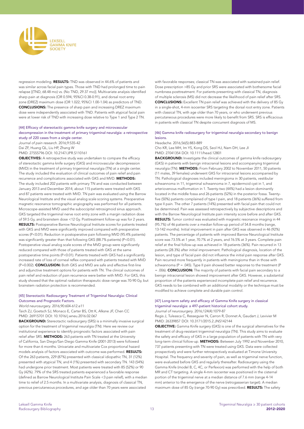

regression modeling. RESULTS: TND was observed in 44.6% of patients and was similar across facial pain types. Those with TND had prolonged time to pain relapse [(TND, 68.48 mo) vs. (No TND, 29.37 mo)]. Multivariate analysis identified sharp pain at diagnosis (OR 0.594; 95%CI 0.38-0.91), and dorsal root entry zone (DREZ) maximum dose (OR 1.022; 95%CI 1.00-1.04) as predictors of TND. CONCLUSIONS: The presence of sharp pain and increasing DREZ maximum dose were independently associated with TND. Patients with atypical facial pain were at lower risk of TND with increasing dose relative to Type 1 and Type 2 TN.

#### [44] Efficacy of stereotactic gamma knife surgery and microvascular decompression in the treatment of primary trigeminal neuralgia: a retrospective study of 220 cases from a single center.

Journal of pain research. 2016;9:535-42 Dai ZF, Huang QL, Liu HP, Zhang W PMID: 27555796 DOI: 10.2147/JPR.S110161

OBJECTIVES: A retrospective study was undertaken to compare the efficacy of stereotactic gamma knife surgery (GKS) and microvascular decompression (MVD) in the treatment of primary trigeminal neuralgia (TN) at a single center. The study included the evaluation of clinical outcomes of pain relief and pain recurrence and complications associated with GKS and MVD. METHODS: The study included 202 patients with primary TN and was conducted between January 2013 and December 2014; about 115 patients were treated with GKS and 87 patients were treated with MVD. TN pain was evaluated using the Barrow Neurological Institute and the visual analog scale scoring systems. Preoperative magnetic resonance tomographic angiography was performed for all patients. Microscope-assisted MVD used the suboccipital retrosigmoid sinus approach. GKS targeted the trigeminal nerve root entry zone with a margin radiation dose of 59.5 Gy, and brainstem dose <12 Gy. Posttreatment follow-up was for 2 years. RESULTS: Postoperative Barrow Neurological Institute scores for patients treated with GKS and MVD were significantly improved compared with preoperative scores (P<0.01). Reduction in postoperative pain following MVD (95.4% patients) was significantly greater than that following GKS (88.7% patients) (P<0.01). Postoperative visual analog scale scores of the MVD group were significantly reduced compared with those of patients treated with GKS at the same postoperative time points (P<0.01). Patients treated with GKS had a significantly increased rate of loss of corneal reflex compared with patients treated with MVD (P=0.002). CONCLUSION: Both GKS and MVD are safe and effective first-line and adjunctive treatment options for patients with TN. The clinical outcomes of pain relief and reduction of pain recurrence were better with MVD. For GKS, this study showed that the optimal radiation therapeutic dose range was 70-90 Gy, but brainstem radiation protection is recommended.

#### [45] Stereotactic Radiosurgery Treatment of Trigeminal Neuralgia: Clinical Outcomes and Prognostic Factors.

#### *World neurosurgery*. 2016;90:604-612.e11

Taich ZJ, Goetsch SJ, Monaco E, Carter BS, Ott K, Alksne JF, Chen CC PMID: 26915701 DOI: 10.1016/j.wneu.2016.02.067

**BACKGROUND:** Stereotactic radiosurgery (SRS) is a minimally invasive surgical option for the treatment of trigeminal neuralgia (TN). Here we review our institutional experience to identify prognostic factors associated with pain relief after SRS. **METHODS:** 263 patients with TN treated at the University of California, San Diego/San Diego Gamma Knife (2001-2013) were followed for more than 6 months. Univariate and multivariate Cox proportional hazard models analysis of factors associated with outcome was performed. RESULTS: Of the 263 patients, 229 (87%) presented with classical idiopathic TN, 31 (12%) presented with atypical TN, and 4 (1%) presented with secondary TN. 143 (54%) had undergone prior treatment. Most patients were treated with 85 (52%) or 90 Gy (42%). 79% of the SRS treated patients experienced a favorable response (defined as Barrow Neurological Institute Pain Scale <3 pain relief), with a median time to relief of 2.5 months. In a multivariate analysis, diagnosis of classical TN, previous percutaneous procedures, and age older than 70 years were associated

with favorable responses; classical TN was associated with sustained pain relief. Dose prescription >85 Gy and prior SRS were associated with bothersome facial numbness posttreatment. For patients presenting with classical TN, diagnosis of multiple sclerosis (MS) did not decrease the likelihood of pain relief after SRS. CONCLUSIONS: Excellent TN pain relief was achieved with the delivery of 85 Gy in a single-shot, 4-mm isocenter SRS targeting the dorsal root entry zone. Patients with classical TN, with age older than 70 years, or who underwent previous percutaneous procedures were more likely to benefit from SRS. SRS is efficacious in patients with classical TN despite concurrent diagnosis of MS.

#### [46] Gamma knife radiosurgery for trigeminal neuralgia secondary to benign lesions.

Headache. 2016;56(5):883-889

Cho KR, Lee MH, Im YS, Kong DS, Seol HJ, Nam DH, Lee JI PMID: 27041354 DOI: 10.1111/head.12801

BACKGROUND: Investigate the clinical outcomes of gamma knife radiosurgery (GKS) in patients with benign intracranial lesions and accompanying trigeminal neuralgia (TN). METHODS: From February 2002 to November 2011, 50 patients (11 males, 39 females) underwent GKS for intracranial lesions accompanied by TN. Pathological diagnoses included meningioma in 30 patients, vestibular schwannoma in 11, trigeminal schwannoma in 7, epidermoid cyst in 1, and arteriovenous malformation in 1. Twenty-two (44%) had a lesion dominantly located in the middle fossa and 26 patients (52%) in the posterior fossa. Twentyfive (50%) patients complained of type I pain, and 18 patients (36%) suffered from type II pain. The other 7 patients (14%) presented with facial pain that could not be determined. Pain was assessed retrospectively by subjective descriptions and with the Barrow Neurological Institute pain intensity score before and after GKS. RESULTS: Tumor control was evaluated with magnetic resonance imaging in 44 (95.7%) of 46 patients over a median follow-up period of 54.8 months (range, 13-142 months). Initial improvement in pain after GKS was observed in 46 (92%) patients. The percentage of patients with improved Barrow Neurological Institute score was 73.5% at 1 year, 70.7% at 2 years, and 76.5% at 3 years. Complete pain relief at the final follow-up was achieved in 18 patients (36%). Pain recurred in 13 patients (28.3%) after initial improvement. Pathological diagnosis, location of the lesion, and type of facial pain did not influence the initial pain response after GKS. Pain recurred more frequently in patients with meningioma than in those with schwannoma ( $P = .045$ ). Type II pain showed better response to the treatment ( $P$ = .006). CONCLUSION: The majority of patients with facial pain secondary to a benign intracranial lesion showed improvement after GKS. However, a substantial proportion of the patients experienced incomplete pain relief and recurrence. GKS needs to be combined with an additional modality or the technique must be modified to achieve complete and durable pain control.

#### [47] Long-term safety and efficacy of Gamma Knife surgery in classical trigeminal neuralgia: a 497-patient historical cohort study.

*Journal of neurosurgery*. 2016;124(4):1079-87

Regis J, Tuleasca C, Resseguier N, Carron R, Donnet A, Gaudart J, Levivier M PMID: 26339857 DOI: 10.3171/2015.2.JNS142144

OBJECTIVE: Gamma Knife surgery (GKS) is one of the surgical alternatives for the treatment of drug-resistant trigeminal neuralgia (TN). This study aims to evaluate the safety and efficacy of GKS in a large population of patients with TN with very long-term clinical follow-up. METHODS: Between July 1992 and November 2010, 737 patients presenting with TN were treated using GKS. Data were collected prospectively and were further retrospectively evaluated at Timone University Hospital. The frequency and severity of pain, as well as trigeminal nerve function, were evaluated before GKS and regularly thereafter. Radiosurgery using the Gamma Knife (model B, C, 4C, or Perfexion) was performed with the help of both MR and CT targeting. A single 4-mm isocenter was positioned in the cisternal portion of the trigeminal nerve at a median distance of 7.6 mm (range 4-14 mm) anterior to the emergence of the nerve (retrogasserian target). A median maximum dose of 85 Gy (range 70-90 Gy) was prescribed. RESULTS: The safety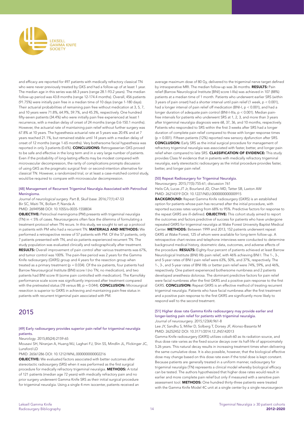

and efficacy are reported for 497 patients with medically refractory classical TN who were never previously treated by GKS and had a follow-up of at least 1 year. The median age in this series was 68.3 years (range 28.1-93.2 years). The median follow-up period was 43.8 months (range 12-174.4 months). Overall, 456 patients (91.75%) were initially pain free in a median time of 10 days (range 1-180 days). Their actuarial probabilities of remaining pain free without medication at 3, 5, 7, and 10 years were 71.8%, 64.9%, 59.7%, and 45.3%, respectively. One hundred fifty-seven patients (34.4%) who were initially pain free experienced at least 1 recurrence, with a median delay of onset of 24 months (range 0.6-150.1 months). However, the actuarial rate of maintaining pain relief without further surgery was 67.8% at 10 years. The hypesthesia actuarial rate at 5 years was 20.4% and at 7 years reached 21.1%, but remained stable until 14 years with a median delay of onset of 12 months (range 1-65 months). Very bothersome facial hypesthesia was reported in only 3 patients (0.6%). CONCLUSIONS: Retrogasserian GKS proved to be safe and effective in the long term and in a very large number of patients. Even if the probability of long-lasting effects may be modest compared with microvascular decompression, the rarity of complications prompts discussion of using GKS as the pragmatic surgical first- or second-intention alternative for classical TN. However, a randomized trial, or at least a case-matched control study, would be required to compare with microvascular decompression.

#### [48] Management of Recurrent Trigeminal Neuralgia Associated with Petroclival Meningioma.

Journal of neurological surgery. Part B, Skull base. 2016;77(1):47-53 Bir SC, Maiti TK, Bollam P, Nanda A

#### PMID: 26949588 DOI: 10.1055/s-0035-1558834

OBJECTIVE: Petroclival meningioma (PM) presents with trigeminal neuralgia (TN) in < 5% of cases. Neurosurgeons often face the dilemma of formulating a treatment protocol when TN recurs. In this study, we sought to set up a protocol in patients with PM who had a recurrent TN. MATERIALS AND METHODS: We performed a retrospective review of 57 patients with PM. Of the 57 patients, only 7 patients presented with TN, and six patients experienced recurrent TN. The study population was evaluated clinically and radiographically after treatment. RESULTS: Overall improvement of pain control after various treatments was 67%, and tumor control was 100%. The pain-free period was 2 years for the Gamma Knife radiosurgery (GKRS) group and 4 years for the resection group when treated as a primary treatment ( $p = 0.034$ ). Of the six patients, four patients had Barrow Neurosurgical Institute (BNI) score I (no TN, no medication), and two patients had BNI score III (some pain controlled with medication). The Karnofsky performance scale score was significantly improved after treatment compared with the pretreated status (78 versus 88;  $p = 0.044$ ). **CONCLUSION:** Microsurgical resection is superior to GKRS in achieving and maintaining pain-free status in patients with recurrent trigeminal pain associated with PM.

## 2015

#### [49] Early radiosurgery provides superior pain relief for trigeminal neuralgia patients.

*Neurology*. 2015;85(24):2159-65

Mousavi SH, Niranjan A, Huang MJ, Laghari FJ, Shin SS, Mindlin JL, Flickinger JC, Lunsford LD

PMID: 26561286 DOI: 10.1212/WNL.0000000000002216

OBJECTIVE: We evaluated factors associated with better outcomes after stereotactic radiosurgery (SRS) when it was performed as the first surgical procedure for medically refractory trigeminal neuralgia. METHODS: A total of 121 patients (median age 72 years) with medically refractory pain and no prior surgery underwent Gamma Knife SRS as their initial surgical procedure for trigeminal neuralgia. Using a single 4-mm isocenter, patients received an average maximum dose of 80 Gy, delivered to the trigeminal nerve target defined by intraoperative MRI. The median follow-up was 36 months. RESULTS: Pain relief (Barrow Neurological Institute [BNI] score I-IIIa) was achieved in 107 (88%) patients at a median time of 1 month. Patients who underwent earlier SRS (within 3 years of pain onset) had a shorter interval until pain relief (1 week, p < 0.001), had a longer interval of pain relief off medication (BNI-I, p < 0.001), and had a longer duration of adequate pain control (BNI-I-IIIa, p < 0.001). Median painfree intervals for patients who underwent SRS at 1, 2, 3, and more than 3 years after trigeminal neuralgia diagnosis were 68, 37, 36, and 10 months, respectively. Patients who responded to SRS within the first 3 weeks after SRS had a longer duration of complete pain relief compared to those with longer response times (p = 0.001). Fifteen patients (12%) reported new sensory dysfunction after SRS. CONCLUSION: Early SRS as the initial surgical procedure for management of refractory trigeminal neuralgia was associated with faster, better, and longer pain relief when compared to late SRS. CLASSIFICATION OF EVIDENCE: This study provides Class IV evidence that in patients with medically refractory trigeminal neuralgia, early stereotactic radiosurgery as the initial procedure provides faster, better, and longer pain relief.

#### [50] Repeat Radiosurgery for Trigeminal Neuralgia.

*Neurosurgery*. 2015;77(5):755-61; discussion 761 Helis CA, Lucas JT Jr, Bourland JD, Chan MD, Tatter SB, Laxton AW PMID: 26214319 DOI: 10.1227/NEU.0000000000000915

BACKGROUND: Repeat Gamma Knife radiosurgery (GKRS) is an established option for patients whose pain has recurred after the initial procedure, with reported success rates varying from 68% to 95%. Predictive factors for response to the repeat GKRS are ill-defined. **OBJECTIVE:** This cohort study aimed to report the outcomes and factors predictive of success for patients who have undergone repeated GKRS for trigeminal neuralgia at Wake Forest University Baptist Medical Center. METHODS: Between 1999 and 2013, 152 patients underwent repeat GKRS at Wake Forest, 125 of whom were available for long-term follow-up. A retrospective chart review and telephone interviews were conducted to determine background medical history, dosimetric data, outcomes, and adverse effects of the procedure. RESULTS: Eighty-four percent of patients achieved at least Barrow Neurological Institute (BNI) IIIb pain relief, with 46% achieving BNI I. The 1-, 3-, and 5-year rates of BNI I pain relief were 63%, 50%, and 37%, respectively. The 1-, 3-, and 5-year rates of BNI IIIb or better pain relief were 74%, 59%, and 46%, respectively. One patient experienced bothersome numbness and 2 patients developed anesthesia dolorosa. The dominant predictive factors for pain relief were facial numbness after the first GKRS and a positive pain response to the first GKRS. CONCLUSION: Repeat GKRS is an effective method of treating recurrent trigeminal neuralgia. Patients who have facial numbness after the first treatment and a positive pain response to the first GKRS are significantly more likely to respond well to the second treatment.

#### [51] Higher dose rate Gamma Knife radiosurgery may provide earlier and longer-lasting pain relief for patients with trigeminal neuralgia. *Journal of neurosurgery*. 2015;123(4):961-8

Lee JY, Sandhu S, Miller D, Solberg T, Dorsey JF, Alonso-Basanta M PMID: 26252452 DOI: 10.3171/2014.12.JNS142013

Gamma Knife radiosurgery (GKRS) utilizes cobalt-60 as its radiation source, and thus dose rate varies as the fixed source decays over its half-life of approximately 5.26 years. This natural decay results in increasing treatment times when delivering the same cumulative dose. It is also possible, however, that the biological effective dose may change based on this dose rate even if the total dose is kept constant. Because patients are generally treated in a uniform manner, radiosurgery for trigeminal neuralgia (TN) represents a clinical model whereby biological efficacy can be tested. The authors hypothesized that higher dose rates would result in earlier and more complete pain relief but only if measured with a sensitive pain assessment tool. **METHODS:** One hundred thirty-three patients were treated with the Gamma Knife Model 4C unit at a single center by a single neurosurgeon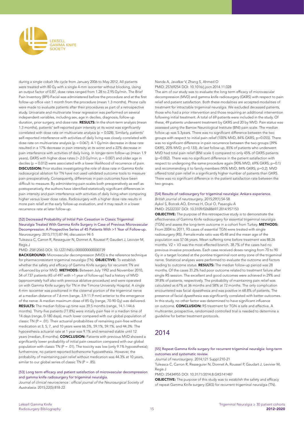

during a single cobalt life cycle from January 2006 to May 2012. All patients were treated with 80 Gy with a single 4-mm isocenter without blocking. Using an output factor of 0.87, dose rates ranged from 1.28 to 2.95 Gy/min. The Brief Pain Inventory (BPI)-Facial was administered before the procedure and at the first follow-up office visit 1 month from the procedure (mean 1.3 months). Phone calls were made to evaluate patients after their procedures as part of a retrospective study. Univariate and multivariate linear regression was performed on several independent variables, including sex, age in deciles, diagnosis, follow-up duration, prior surgery, and dose rate. RESULTS: In the short-term analysis (mean 1.3 months), patients' self-reported pain intensity at its worst was significantly correlated with dose rate on multivariate analysis ( $p = 0.028$ ). Similarly, patients' self-reported interference with activities of daily living was closely correlated with dose rate on multivariate analysis (p = 0.067). A 1 Gy/min decrease in dose rate resulted in a 17% decrease in pain intensity at its worst and a 22% decrease in pain interference with activities of daily living. In longer-term follow-up (mean 1.9 years), GKRS with higher dose rates (> 2.0 Gy/min; p = 0.007) and older age in deciles (p = 0.012) were associated with a lower likelihood of recurrence of pain. DISCUSSION: Prior studies investigating the role of dose rate in Gamma Knife radiosurgical ablation for TN have not used validated outcome tools to measure pain preoperatively. Consequently, differences in pain outcomes have been difficult to measure. By administering pain scales both preoperatively as well as postoperatively, the authors have identified statistically significant differences in pain intensity and pain interference with activities of daily living when comparing higher versus lower dose rates. Radiosurgery with a higher dose rate results in more pain relief at the early follow-up evaluation, and it may result in a lower recurrence rate at later follow-up.

#### [52] Decreased Probability of Initial Pain Cessation in Classic Trigeminal Neuralgia Treated With Gamma Knife Surgery in Case of Previous Microvascular Decompression: A Prospective Series of 45 Patients With >1 Year of Follow-up. *Neurosurgery*. 2015;77(1):87-94; discussion 94-5

Tuleasca C, Carron R, Resseguier N, Donnet A, Roussel P, Gaudart J, Levivier M, Regis J

PMID: 25812065 DOI: 10.1227/NEU.0000000000000739

BACKGROUND: Microvascular decompression (MVD) is the reference technique for pharmacoresistant trigeminal neuralgia (TN). OBJECTIVE: To establish whether the safety and efficacy of Gamma Knife surgery for recurrent TN are influenced by prior MVD. METHODS: Between July 1992 and November 2010, 54 of 737 patients (45 of 497 with >1 year of follow-up) had a history of MVD (approximately half also with previous ablative procedure) and were operated on with Gamma Knife surgery for TN in the Timone University Hospital. A single 4-mm isocenter was positioned in the cisternal portion of the trigeminal nerve at a median distance of 7.6 mm (range, 3.9-11.9 mm) anterior to the emergence of the nerve. A median maximum dose of 85 Gy (range, 70-90 Gy) was delivered. RESULTS: The median follow-up time was 39.5 months (range, 14.1-144.6 months). Thirty-five patients (77.8%) were initially pain free in a median time of 14 days (range, 0-180 days), much lower compared with our global population of classic TN ( $P = .01$ ). Their actuarial probabilities of remaining pain-free without medication at 3, 5, 7, and 10 years were 66.5%, 59.1%, 59.1%, and 44.3%. The hypoesthesia actuarial rate at 1 year was 9.1% and remained stable until 12 years (median, 8 months). CONCLUSION: Patients with previous MVD showed a significantly lower probability of initial pain cessation compared with our global population with classic TN (P = .01). The toxicity was low (only 9.1% hypoesthesia); furthermore, no patient reported bothersome hypoesthesia. However, the probability of maintaining pain relief without medication was 44.3% at 10 years, similar to our global series of classic TN ( $P = .85$ ).

#### [53] Long term efficacy and patient satisfaction of microvascular decompression and gamma knife radiosurgery for trigeminal neuralgia.

Journal of clinical neuroscience : official journal of the Neurosurgical Society *of Australasia*. 2015;22(5):818-22

Nanda A, Javalkar V, Zhang S, Ahmed O PMID: 25769254 DOI: 10.1016/j.jocn.2014.11.028

The aim of our study was to evaluate the long term efficacy of microvascular decompression (MVD) and gamma knife radiosurgery (GKRS) with respect to pain relief and patient satisfaction. Both these modalities are accepted modalities of treatment for intractable trigeminal neuralgia. We excluded deceased patients, those who had a prior intervention and those requiring an additional intervention following initial treatment. A total of 69 patients were included in the study. Of these, 49 patients underwent treatment by GKRS and 20 by MVD. Pain status was assessed using the Barrow Neurological Institute (BNI) pain scale. The median follow up was 5.3years. There was no significant difference between the two groups with respect to initial pain relief (100% MVD, 84% GKRS; p=0.055). There was no significant difference in pain recurrence between the two groups (39% GKRS, 20% MVD; p=0.133). At last follow up, 85% of patients who underwent MVD had total pain relief (BNI scale I) compared to only 45% of GKRS patients (p=0.002). There was no significant difference in the patient satisfaction with respect to undergoing the same procedure again (90% MVD, 69% GKRS; p=0.1) and recommending it to family members (95% MVD, 84% GKRS; p=0.2). MVD offered total pain relief in a significantly higher number of patients than GKRS. There was no significant difference in the patient satisfaction rate between the two groups.

[54] Results of radiosurgery for trigeminal neuralgia: Ankara experience. British journal of neurosurgery. 2015;29(1):54-58 Aykol S, Borcek AO, Emmez H, Ocal O, Pasaoglu A PMID: 25222337 DOI: 10.3109/02688697.2014.957153

OBJECTIVE: The purpose of this retrospective study is to demonstrate the effectiveness of Gamma Knife radiosurgery for essential trigeminal neuralgia (TGN) and assess the long-term outcome in a cohort from Turkey. METHODS: From 2004 to 2011, 93 cases of essential TGN were treated with single radiosurgery (RS). Female:male ratio was 45:48 and the mean age of the population was 57.06 years. Mean suffering time before treatment was 88.26 months. V2 + V3 was the most effected branch. 38.7% of the cases had no previous invasive procedures. Each case received doses ranging from 70 to 90 Gy in a target located at the pontine trigeminal root entry zone of the trigeminal nerve. Statistical analyses were performed to evaluate the outcome and factors leading to outcome status. RESULTS: The median follow-up period was 28 months. Of the cases 31.2% had poor outcome related to treatment failure after single RS session. The excellent and good outcomes were achieved in 29% and 39.8% of patients, respectively. The probability of maintaining pain relief was calculated as 67% at 36 months and 58% at 72 months. The only complication encountered was facial dysesthesia and was positive in 68.8% of patients. The presence of facial dysesthesia was significantly correlated with better outcomes. In this study, no other factor was determined to have significant influence on outcome. CONCLUSION: RS treatment for TGN is safe and effective. A multicenter, prospective, randomized controlled trial is needed to determine a guideline for better treatment protocols.

# 2014

#### [55] Repeat Gamma Knife surgery for recurrent trigeminal neuralgia: long-term outcomes and systematic review.

*Journal of neurosurgery*. 2014;121 Suppl:210-21

Tuleasca C, Carron R, Resseguier N, Donnet A, Roussel P, Gaudart J, Levivier M, Regis J

PMID: 25434955 DOI: 10.3171/2014.8.GKS141487

**OBJECTIVE:** The purpose of this study was to establish the safety and efficacy of repeat Gamma Knife surgery (GKS) for recurrent trigeminal neuralgia (TN).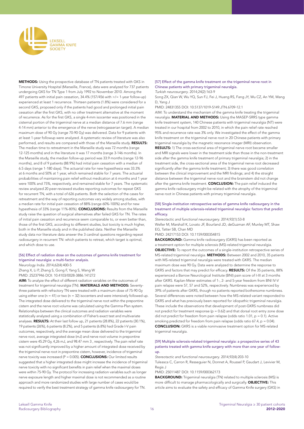

METHODS: Using the prospective database of TN patients treated with GKS in Timone University Hospital (Marseille, France), data were analyzed for 737 patients undergoing GKS for TN Type 1 from July 1992 to November 2010. Among the 497 patients with initial pain cessation, 34.4% (157/456 with >/= 1-year follow-up) experienced at least 1 recurrence. Thirteen patients (1.8%) were considered for a second GKS, proposed only if the patients had good and prolonged initial pain cessation after the first GKS, with no other treatment alternative at the moment of recurrence. As for the first GKS, a single 4-mm isocenter was positioned in the cisternal portion of the trigeminal nerve at a median distance of 7.6 mm (range 4-14 mm) anterior to the emergence of the nerve (retrogasserian target). A median maximum dose of 90 Gy (range 70-90 Gy) was delivered. Data for 9 patients with at least 1-year followup were analyzed. A systematic review of literature was also performed, and results are compared with those of the Marseille study. RESULTS: The median time to retreatment in the Marseille study was 72 months (range 12-125 months) and in the literature it was 17 months (range 3-146 months). In the Marseille study, the median follow-up period was 33.9 months (range 12-96 months), and 8 of 9 patients (88.9%) had initial pain cessation with a median of 6.5 days (range 1-180 days). The actuarial rate for new hypesthesia was 33.3% at 6 months and 50% at 1 year, which remained stable for 7 years. The actuarial probabilities of maintaining pain relief without medication at 6 months and 1 year were 100% and 75%, respectively, and remained stable for 7 years. The systematic review analyzed 20 peer-reviewed studies reporting outcomes for repeat GKS for recurrent TN, with a total of 626 patients. Both the selection of the cases for retreatment and the way of reporting outcomes vary widely among studies, with a median rate for initial pain cessation of 88% (range 60%-100%) and for new hypesthesia of 33% (range 11%-80%). **CONCLUSIONS:** Results from the Marseille study raise the question of surgical alternatives after failed GKS for TN. The rates of initial pain cessation and recurrence seem comparable to, or even better than, those of the first GKS, according to different studies, but toxicity is much higher, both in the Marseille study and in the published data. Neither the Marseille study data nor literature data answer the 3 cardinal questions regarding repeat radiosurgery in recurrent TN: which patients to retreat, which target is optimal, and which dose to use.

#### [56] Effect of radiation dose on the outcomes of gamma knife treatment for trigeminal neuralgia: a multi-factor analysis.

*Neurology India*. 2014;62(4):400-5 Zhang X, Li P, Zhang S, Gong F, Yang S, Wang W PMID: 25237946 DOI: 10.4103/0028-3886.141272

AIM: To analyze the effect of different radiation variables on the outcomes of treatment for trigeminal neuralgia (TN). MATERIALS AND METHODS: Seventythree patients with refractory TN were treated with a maximum dose of 75-90 Gy using either one ( $n = 41$ ) or two ( $n = 32$ ) isocenters and were intensively followed up. The integrated dose delivered to the trigeminal nerve root within the prepontine cistern and the nerve root volume was calculated using the Gamma-Plan system. Relationships between the clinical outcomes and radiation variables were statistically analyzed using a combination of Fisher's exact test and multivariate analyses. RESULTS: At their last follow up, 21 patients (28.8%), 22 patients (30.1%), 19 patients (26%), 6 patients (8.2%), and 5 patients (6.8%) had Grade I-V pain outcomes, respectively, and the average mean dose delivered to the trigeminal nerve root, average integrated dose (mJ) and nerve root volume in prepontine cistern were 45.29 Gy, 4,26 mJ, and 98.47 mm 3 , respectively. The pain relief rate was not significantly improved by a higher amount of integrated dose received by the trigeminal nerve root in prepontine cistern, however, incidence of trigeminal nerve toxicity was increased (P = 0.005). **CONCLUSIONS:** Our limited results suggested that a higher integrated dose might increase the incidence of trigeminal nerve toxicity with no significant benefits in pain relief when the maximal doses were within 75-90 Gy. The protocol for increasing radiation variables such as longer nerve exposure length and higher maximal dose is not recommended as a routine approach and more randomized studies with large number of cases would be required to verify the best treatment strategy of gamma knife radiosurgery for TN.

[57] Effect of the gamma knife treatment on the trigeminal nerve root in Chinese patients with primary trigeminal neuralgia. Turkish neurosurgery. 2014;24(2):163-9

Song ZX, Qian W, Wu YQ, Sun FJ, Fei J, Huang RS, Fang JY, Wu CZ, An YM, Wang D, Yang J

PMID: 24831355 DOI: 10.5137/1019-5149.JTN.6709-12.1

AIM: To understand the mechanism of the gamma knife treating the trigeminal neuralgia. MATERIAL AND METHODS: Using the MASEP-SRRS type gamma knife treatment system, 140 Chinese patients with trigeminal neuralgia (NT) were treated in our hospital from 2002 to 2010, in which the pain relief rate reached 95% and recurrence rate was 3% only. We investigated the effect of the gamma knife treatment on the trigeminal nerve root in 20 Chinese patients with primary trigeminal neuralgia by the magnetic resonance imager (MRI) observation. RESULTS: 1) The cross-sectional area of trigeminal nerve root became smaller and MRI signals were lower in the treatment side than those in the non-treatment side after the gamma knife treatment of primary trigeminal neuralgia; 2) in the treatment side, the cross-sectional area of the trigeminal nerve root decreased significantly after the gamma knife treatment; 3) there was good correlation between the clinical improvement and the MRI findings; and 4) the straight distance between the trigeminal nerve root and the brainstem did not change after the gamma knife treatment. **CONCLUSION:** The pain relief induced the gamma knife radiosurgery might be related with the atrophy of the trigeminal nerve root in Chinese patients with primary trigeminal neuralgia.

#### [58] Single-institution retrospective series of gamma knife radiosurgery in the treatment of multiple sclerosis-related trigeminal neuralgia: factors that predict efficacy.

*Stereotactic and functional neurosurgery*. 2014;92(1):53-8

Weller M, Marshall K, Lovato JF, Bourland JD, deGuzman AF, Munley MT, Shaw EG, Tatter SB, Chan MD

#### PMID: 24217153 DOI: 10.1159/000354815

BACKGROUND: Gamma knife radiosurgery (GKRS) has been reported as a treatment option for multiple sclerosis (MS)-related trigeminal neuralgia. OBJECTIVE: To report the outcomes of a single-institution retrospective series of MS-related trigeminal neuralgia. METHODS: Between 2002 and 2010, 35 patients with MS-related trigeminal neuralgia were treated with GKRS. The median maximum dose was 90 Gy. Data were analyzed to determine the response to GKRS and factors that may predict for efficacy. RESULTS: Of the 35 patients, 88% experienced a Barrow Neurological Institute (BNI) pain score of I-III at 3 months after GKRS. Kaplan-Meier estimates of 1-, 2- and 5-year freedom from BNI IV-V pain relapse were 57, 57 and 52%, respectively. Numbness was experienced by 39% of patients after GKRS, though no patients reported bothersome numbness. Several differences were noted between how the MS-related variant responded to GKRS and what has previously been reported for idiopathic trigeminal neuralgia. These include the observations that development of post-GKRS numbness did not predict for treatment response ( $p = 0.62$ ) and that dorsal root entry zone dose did not predict for freedom from pain relapse (odds ratio 1.01,  $p = 0.1$ ). Active smoking predicted for freedom from pain relapse (odds ratio 67.4,  $p = 0.04$ ). CONCLUSION: GKRS is a viable noninvasive treatment option for MS-related trigeminal neuralgia.

#### [59] Multiple sclerosis-related trigeminal neuralgia: a prospective series of 43 patients treated with gamma knife surgery with more than one year of followup.

*Stereotactic and functional neurosurgery*. 2014;92(4):203-10

Tuleasca C, Carron R, Resseguier N, Donnet A, Roussel P, Gaudart J, Levivier M, Regis J

PMID: 25011487 DOI: 10.1159/000362173

BACKGROUND: Trigeminal neuralgia (TN) related to multiple sclerosis (MS) is more difficult to manage pharmacologically and surgically. **OBJECTIVE:** This article aims to evaluate the safety and efficacy of Gamma Knife surgery (GKS) in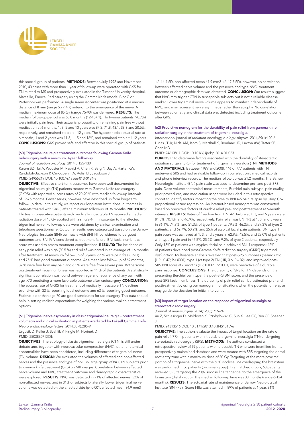

this special group of patients. **METHODS:** Between July 1992 and November 2010, 43 cases with more than 1 year of follow-up were operated with GKS for TN related to MS and prospectively evaluated in the Timone University Hospital, Marseille, France. Radiosurgery using the Gamma Knife (model B or C or Perfexion) was performed. A single 4-mm isocenter was positioned at a median distance of 8 mm (range 5.7-14.7) anterior to the emergence of the nerve. A median maximum dose of 85 Gy (range 75-90) was delivered. RESULTS: The median follow-up period was 53.8 months (12-157.1). Thirty-nine patients (90.7%) were initially pain free. Their actuarial probability of remaining pain free without medication at 6 months, 1, 3, 5 and 10 years was 87.2, 71.8, 43.1, 38.3 and 20.5%, respectively, and remained stable till 12 years. The hypoesthesia actuarial rate at 6 months, 1 and 2 years was 11.5, 11.5 and 16%, and remained stable till 12 years. CONCLUSIONS: GKS proved safe and effective in this special group of patients.

#### [60] Trigeminal neuralgia treatment outcomes following Gamma Knife radiosurgery with a minimum 3-year follow-up.

*Journal of radiation oncology*. 2014;3:125-130

Karam SD, Tai A, Wooster M, Rashid A, Chen R, Baig N, Jay A, Harter KW, Randolph-Jackson P, Omogbehin A, Aulisi EF, Jacobson J PMID: 24955219 DOI: 10.1007/s13566-013-0134-3

OBJECTIVE: Effective short-term outcomes have been well documented for trigeminal neuralgia (TN) patients treated with Gamma Knife radiosurgery (GKRS) with reported success rates of 70-90 % with median follow-up intervals of 19-75 months. Fewer series, however, have described uniform long-term follow-up data. In this study, we report our long-term institutional outcomes in patients treated with GKRS after a minimum follow-up of 36 months. METHODS: Thirty-six consecutive patients with medically intractable TN received a median radiation dose of 45 Gy applied with a single 4-mm isocenter to the affected trigeminal nerve. Follow-up data were obtained by clinical examination and telephone questionnaire. Outcome results were categorized based on the Barrow Neurological Institute (BNI) pain scale with BNI I-III considered to be good outcomes and BNI IV-V considered as treatment failure. BNI facial numbness score was used to assess treatment complications. RESULTS: The incidence of early pain relief was high (80.5 %) and relief was noted in an average of 1.6 months after treatment. At minimum follow-up of 3 years, 67 % were pain free (BNI I) and 75 % had good treatment outcome. At a mean last follow-up of 69 months, 32 % were free from any pain and 63 % were free from severe pain. Bothersome posttreatment facial numbness was reported in 11 % of the patients. A statistically significant correlation was found between age and recurrence of any pain with age >70 predicting a more favorable outcome after radiosurgery. CONCLUSION: The success rate of GKRS for treatment of medically intractable TN declines over time with 32 % reporting ideal outcome and 63 % reporting good outcome. Patients older than age 70 are good candidates for radiosurgery. This data should help in setting realistic expectations for weighing the various available treatment options.

#### [61] Trigeminal nerve asymmetry in classic trigeminal neuralgia - pretreatment volumetry and clinical evaluation in patients irradiated by Leksell Gamma Knife. *Neuro endocrinology letters*. 2014;35(4):285-9

Urgosik D, Keller J, Svehlik V, Pingle M, Horinek D PMID: 25038607 DOI:

OBJECTIVES: The etiology of classic trigeminal neuralgia (CTN) is still under debate and, together with neurovascular compression (NVC), other anatomical abnormalities have been considered, including differences of trigeminal nerve (TN) volume. DESIGN: We evaluated the volumes of affected and non-affected nerves and the presence and type of NVC in large group of 84 CTN subjects prior to gamma knife treatment (GKS) on MR images. Correlation between affected nerve volume and NVC, treatment outcome and demographic characteristics were explored. **RESULTS:** NVC was detected in 71% of affected nerves, 52% of non-affected nerves, and in 31% of subjects bilaterally. Lower trigeminal nerve volume was detected on the affected side (p<0.001, affected mean 34.9 mm3

+/- 14.4 SD, non-affected mean 41.9 mm3 +/- 17.7 SD), however, no correlation between affected nerve volume and the presence and type NVC, treatment outcome or demographic data was detected. **CONCLUSION:** Our results suggest that NVC may trigger CTN in susceptible subjects but is not a reliable disease marker. Lower trigeminal nerve volume appears to manifest independently of NVC, and may represent nerve asymmetry rather than atrophy. No correlation between volumetry and clinical data was detected including treatment outcome after GKS.

#### [62] Predictive nomogram for the durability of pain relief from gamma knife radiation surgery in the treatment of trigeminal neuralgia.

International journal of radiation oncology, biology, physics. 2014;89(1):120-6 Lucas JT Jr, Nida AM, Isom S, Marshall K, Bourland JD, Laxton AW, Tatter SB, Chan MD

PMID: 24613811 DOI: 10.1016/j.ijrobp.2014.01.023

PURPOSE: To determine factors associated with the durability of stereotactic radiation surgery (SRS) for treatment of trigeminal neuralgia (TN). METHODS AND MATERIALS: Between 1999 and 2008, 446 of 777 patients with TN underwent SRS and had evaluable follow-up in our electronic medical records and phone interview records. The median follow-up was 21.2 months. The Barrow Neurologic Institute (BNI) pain scale was used to determine pre- and post-SRS pain. Dose-volume anatomical measurements, Burchiel pain subtype, pain quality, prior procedures, and medication usage were included in this retrospective cohort to identify factors impacting the time to BNI 4-5 pain relapse by using Cox proportional hazard regression. An internet-based nomogram was constructed based on predictive factors of durable relief pre- and posttreatment at 6-month intervals. RESULTS: Rates of freedom from BNI 4-5 failure at 1, 3, and 5 years were 84.5%, 70.4%, and 46.9%, respectively. Pain relief was BNI 1-3 at 1, 3, and 5 years in 86.1%, 74.3%, and 51.3% of type 1 patients; 79.3%, 46.2%, and 29.3% of type 2 patients; and 62.7%, 50.2%, and 25% of atypical facial pain patients. BNI type 1 pain score was achieved at 1, 3, and 5 years in 62.9%, 43.5%, and 22.0% of patients with type 1 pain and in 47.5%, 25.2%, and 9.2% of type 2 patients, respectively. Only 13% of patients with atypical facial pain achieved BNI 1 response; 42% of patients developed post-Gamma Knife radiation surgery (GKRS) trigeminal dysfunction. Multivariate analysis revealed that post-SRS numbness (hazard ratio [HR], 0.47; P<.0001), type 1 (vs type 2) TN (HR, 0.6; P=.02), and improved post-SRS BNI score at 6 months (HR, 0.009; P<.0001) were predictive of a durable pain response. CONCLUSIONS: The durability of SRS for TN depends on the presenting Burchiel pain type, the post-SRS BNI score, and the presence of post-SRS facial numbness. The durability of pain relief can be estimated pre- and posttreatment by using our nomogram for situations when the potential of relapse may guide the decision for initial intervention.

#### [63] Impact of target location on the response of trigeminal neuralgia to stereotactic radiosurgery.

*Journal of neurosurgery*. 2014;120(3):716-24

Xu Z, Schlesinger D, Moldovan K, Przybylowski C, Sun X, Lee CC, Yen CP, Sheehan J

#### PMID: 24313616 DOI: 10.3171/2013.10.JNS131596

**OBJECTIVE:** The authors evaluate the impact of target location on the rate of pain relief (PR) in patients with intractable trigeminal neuralgia (TN) undergoing stereotactic radiosurgery (SRS). METHODS: The authors conducted a retrospective review of 99 patients with idiopathic TN who were identified from a prospectively maintained database and were treated with SRS targeting the dorsal root entry zone with a maximum dose of 80 Gy. Targeting of the more proximal portion of a trigeminal nerve with the 50% isodose line overlapping the brainstem was performed in 36 patients (proximal group). In a matched group, 63 patients received SRS targeting the 20% isodose line tangential to the emergence of the brainstem (distal group). The median follow-up time was 33 months (range 6-124 months). RESULTS: The actuarial rate of maintenance of Barrow Neurological Institute (BNI) Pain Score I-IIIa was attained in 89% of patients at 1 year, 81%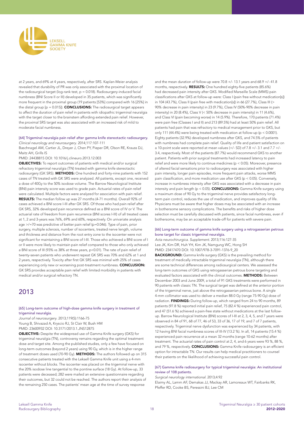

at 2 years, and 69% at 4 years, respectively, after SRS. Kaplan-Meier analysis revealed that durability of PR was only associated with the proximal location of the radiosurgical target ( $log$ -rank test,  $p = 0.018$ ). Radiosurgery-induced facial numbness (BNI Score II or III) developed in 35 patients, which was significantly more frequent in the proximal group (19 patients [53%] compared with 16 [25%] in the distal group  $[p = 0.015]$ ). **CONCLUSIONS:** The radiosurgical target appears to affect the duration of pain relief in patients with idiopathic trigeminal neuralgia with the target closer to the brainstem affording extended pain relief. However, the proximal SRS target was also associated with an increased risk of mild to moderate facial numbness.

#### [64] Trigeminal neuralgia pain relief after gamma knife stereotactic radiosurgery. *Clinical neurology and neurosurgery*. 2014;117:107-111

Baschnagel AM, Cartier JL, Dreyer J, Chen PY, Pieper DR, Olson RE, Krauss DJ, Maitz AH, Grills IS

PMID: 24438815 DOI: 10.1016/j.clineuro.2013.12.003

OBJECTIVES: To report outcomes of patients with medical and/or surgical refractory trigeminal neuralgia (TN) treated with gamma knife stereotactic radiosurgery (GK SRS). **METHODS:** One hundred and forty-nine patients with 152 cases of TN treated with GK SRS were analyzed. All patients, except one, received a dose of 40Gy to the 50% isodose volume. The Barrow Neurological Institute (BNI) pain intensity score was used to grade pain. Actuarial rates of pain relief were calculated. Multiple factors were analyzed for association with pain relief. RESULTS: The median follow up was 27 months (4-71 months). Overall 92% of cases achieved a BNI score I-III after GK SRS. Of those who had pain relief after GK SRS, 32% developed pain recurrence defined as a BNI score of IV or V. The actuarial rate of freedom from pain recurrence (BNI scores I-III) of all treated cases at 1, 2 and 3-years was 76%, 69% and 60%, respectively. On univariate analysis age >/=70 was predictive of better pain relief (p=0.046). Type of pain, prior surgery, multiple sclerosis, number of isocenters, treated nerve length, volume and thickness and distance from the root entry zone to the isocenter were not significant for maintaining a BNI score of I-III. Those who achieved a BNI score of I or II were more likely to maintain pain relief compared to those who only achieved a BNI score of III (93% vs 38% at three years, p<0.01). The rate of pain relief of twenty-seven patients who underwent repeat GK SRS was 70% and 62% at 1 and 2 years, respectively. Toxicity after first GK SRS was minimal with 25% of cases experiencing only new or worsening post-treatment numbness. CONCLUSION: GK SRS provides acceptable pain relief with limited morbidity in patients with medical and/or surgical refractory TN.

## 2013

#### [65] Long-term outcome of high-dose gamma knife surgery in treatment of trigeminal neuralgia.

*Journal of neurosurgery*. 2013;119(5):1166-75 Young B, Shivazad A, Kryscio RJ, St Clair W, Bush HM PMID: 23600932 DOI: 10.3171/2013.1.JNS12875

OBJECTIVE: Despite the widespread use of Gamma Knife surgery (GKS) for trigeminal neuralgia (TN), controversy remains regarding the optimal treatment dose and target site. Among the published studies, only a few have focused on long-term outcomes (beyond 2 years) using 90 Gy, which is in the higher range of treatment doses used (70-90 Gy). METHODS: The authors followed up on 315 consecutive patients treated with the Leksell Gamma Knife unit using a 4-mm isocenter without blocks. The isocenter was placed on the trigeminal nerve with the 20% isodose line tangential to the pontine surface (18 Gy). At follow-up, 33 patients were deceased; 282 were mailed an extensive questionnaire regarding their outcomes, but 32 could not be reached. The authors report their analysis of the remaining 250 cases. The patients' mean age at the time of survey response

and the mean duration of follow-up were 70.8 +/- 13.1 years and 68.9 +/- 41.8 months, respectively. RESULTS: One hundred eighty-five patients (85.6%) had decreased pain intensity after GKS. Modified Marseille Scale (MMS) pain classifications after GKS at follow-up were: Class I (pain free without medication[s]) in 104 (43.7%), Class II (pain free with medication[s]) in 66 (27.7%), Class III (> 90% decrease in pain intensity) in 23 (9.7%), Class IV (50%-90% decrease in pain intensity) in 20 (8.4%), Class V (< 50% decrease in pain intensity) in 11 (4.6%), and Class VI (pain becoming worse) in 14 (5.9%). Therefore, 170 patients (71.4%) were pain free (Classes I and II) and 213 (89.5%) had at least 50% pain relief. All patients had pain that was refractory to medical management prior to GKS, but only 111 (44.4%) were being treated with medication at follow-up (p < 0.0001). Eighty patients (32.9%) developed numbness after GKS, and 74.5% of patients with numbness had complete pain relief. Quality of life and patient satisfaction on a 10-point scale were reported at mean values (+/- SD) of 7.8 +/- 3.1 and 7.7 +/- 3.4, respectively. Most of the patients (87.7%) would recommend GKS to another patient. Patients with prior surgical treatments had increased latency to pain relief and were more likely to continue medicines (p < 0.05). Moreover, presence of altered facial sensations prior to radiosurgery was associated with higher pain intensity, longer pain episodes, more frequent pain attacks, worse MMS pain classification, and more medication use after GKS (p < 0.05). Conversely, increase in numbness intensity after GKS was associated with a decrease in pain intensity and pain length ( $p < 0.05$ ). **CONCLUSIONS:** Gamma Knife surgery using a maximum dose of 90 Gy to the trigeminal nerve provides satisfactory longterm pain control, reduces the use of medication, and improves quality of life. Physicians must be aware that higher doses may be associated with an increase in bothersome sensory complications. The benefits and risks of higher dose selection must be carefully discussed with patients, since facial numbness, even if bothersome, may be an acceptable trade-off for patients with severe pain.

#### [66] Long-term outcome of gamma knife surgery using a retrogasserian petrous bone target for classic trigeminal neuralgia.

Acta neurochirurgica. Supplement. 2013;116:127-35 Lee JK, Kim DR, Huh YH, Kim JK, Namgung WC, Hong SH PMID: 23417470 DOI: 10.1007/978-3-7091-1376-9\_20

**BACKGROUND:** Gamma knife surgery (GKS) is the prevailing method for treatment of medically intractable trigeminal neuralgia (TN), although there are some technical differences among radiosurgical centers. We assessed the long-term outcomes of GKS using retrogasserian petrous bone targeting and evaluated factors associated with the clinical outcomes. METHODS: Between December 2003 and June 2009, a total of 91 GKS treatments were performed in 90 patients with classic TN. The surgical target was defined at the anterior portion of the trigeminal nerve, just above the retrogasserian petrous bone. A single 4-mm collimator was used to deliver a median 88.0 Gy (range 75-90 Gy) dose of radiation. FINDINGS: During follow-up, which ranged from 24 to 90 months, 89 patients (97.8 %) reported initial pain relief, 75 (82.4 %) experienced pain control, and 47 (51.6 %) achieved a pain-free state without medications at the last followup. Barrow Neurological Institute (BNI) scores of I-III at 2, 3, 4, 5, and 7 years were observed in 84 of 91, 68 of 77, 46 of 53, 33 of 36, 17 of 19, and 7 of 7 patients, respectively. Trigeminal nerve dysfunction was experienced by 34 patients, with 12 having BNI facial numbness scores of III-IV (13.2 %). In all, 14 patients (15.4 %) experienced pain recurrence at a mean 32 months (range 10-62 months) after treatment. The actuarial rates of pain control at 2, 4, and 6 years were 93 %, 88 %, and 79 %, respectively. **CONCLUSIONS:** Gamma Knife radiosurgery is an efficient option for intractable TN. Our results can help medical practitioners to counsel their patients on the likelihood of achieving successful pain control.

#### [67] Gamma knife radiosurgery for typical trigeminal neuralgia: An institutional review of 108 patients.

*Surgical neurology international*. 2013;4:92

Elaimy AL, Lamm AF, Demakas JJ, Mackay AR, Lamoreaux WT, Fairbanks RK, Pfeffer RD, Cooke BS, Peressini BJ, Lee CM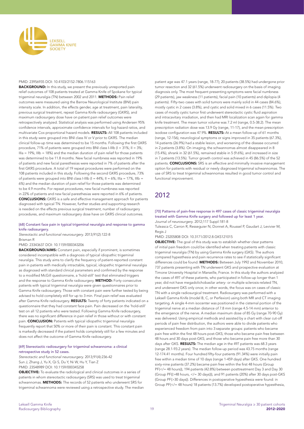

#### PMID: 23956935 DOI: 10.4103/2152-7806.115163

**BACKGROUND:** In this study, we present the previously unreported pain relief outcomes of 108 patients treated at Gamma Knife of Spokane for typical trigeminal neuralgia (TN) between 2002 and 2011. METHODS: Pain relief outcomes were measured using the Barrow Neurological Institute (BNI) pain intensity scale. In addition, the effects gender, age at treatment, pain laterality, previous surgical treatment, repeat Gamma Knife radiosurgery (GKRS), and maximum radiosurgery dose have on patient pain relief outcomes were retrospectively analyzed. Statistical analysis was performed using Andersen 95% confidence intervals, approximate confidence intervals for log hazard ratios, and multivariate Cox proportional hazard models. RESULTS: All 108 patients included in this study were grouped into BNI class IV or V prior to GKRS. The median clinical follow-up time was determined to be 15 months. Following the first GKRS procedure, 71% of patients were grouped into BNI class I-IIIb (I = 31%; II = 3%;  $IIIa = 19\%$ ;  $IIIb = 18\%$ ) and the median duration of pain relief for those patients was determined to be 11.8 months. New facial numbness was reported in 19% of patients and new facial paresthesias were reported in 7% of patients after the first GKRS procedure. A total of 19 repeat procedures were performed on the 108 patients included in this study. Following the second GKRS procedure, 73% of patients were grouped into BNI class I-IIIb (I =  $44\%$ ; II =  $6\%$ ; IIIa =  $17\%$ , IIIb = 6%) and the median duration of pain relief for those patients was determined to be 4.9 months. For repeat procedures, new facial numbness was reported in 22% of patients and new facial paresthesias were reported in 6% of patients. CONCLUSIONS: GKRS is a safe and effective management approach for patients diagnosed with typical TN. However, further studies and supporting research is needed on the effects previous surgical treatment, number of radiosurgery procedures, and maximum radiosurgery dose have on GKRS clinical outcomes.

#### [68] Constant face pain in typical trigeminal neuralgia and response to gamma knife radiosurgery.

*Stereotactic and functional neurosurgery*. 2013;91(2):122-8 Brisman R

#### PMID: 23343637 DOI: 10.1159/000343206

BACKGROUND/AIMS: Constant pain, especially if prominent, is sometimes considered incompatible with a diagnosis of typical idiopathic trigeminal neuralgia. This study aims to clarify the frequency of patient-reported constant pain in patients with medically intractable, typical, idiopathic trigeminal neuralgia as diagnosed with standard clinical parameters and confirmed by the response to a modified McGill questionnaire, a 'hold-still' test that eliminated triggers and the response to Gamma Knife radiosurgery. METHOD: Forty consecutive patients with typical trigeminal neuralgia were given questionnaires prior to Gamma Knife radiosurgery. Those with constant pain were further tested by being advised to hold completely still for up to 3 min. Final pain relief was evaluated after Gamma Knife radiosurgery. RESULTS: Twenty of forty patients indicated on a questionnaire that they had constant face pain. Pain decreased on the 'hold-still' test on all 12 patients who were tested. Following Gamma Knife radiosurgery, there was no significant difference in pain relief in those without or with constant pain. CONCLUSION: Patients with typical idiopathic trigeminal neuralgia frequently report that 50% or more of their pain is constant. This constant pain is markedly decreased if the patient holds completely still for a few minutes and does not affect the outcome of Gamma Knife radiosurgery.

#### [69] Stereotactic radiosurgery for trigeminal schwannoma: a clinical retrospective study in 52 cases.

*Stereotactic and functional neurosurgery*. 2013;91(4):236-42 Sun J, Zhang J, Yu X, Qi S, Du Y, Ni W, Hu Y, Tian Z PMID: 23548989 DOI: 10.1159/000345258

OBJECTIVE: To evaluate the radiological and clinical outcomes in a series of patients in whom stereotactic radiosurgery (SRS) was used to treat trigeminal schwannomas. **METHODS:** The records of 52 patients who underwent SRS for trigeminal schwannoma were reviewed using a retrospective study. The median patient age was 47.1 years (range, 18-77); 20 patients (38.5%) had undergone prior tumor resection and 32 (61.5%) underwent radiosurgery on the basis of imaging diagnosis only. The most frequent presenting symptoms were facial numbness (29 patients), jaw weakness (11 patients), facial pain (10 patients) and diplopia (4 patients). Fifty-two cases with solid tumors were mainly solid in 44 cases (84.6%), mostly cystic in 2 cases (3.8%), and cystic and solid mixed in 6 cases (11.5%). Two cases of mostly cystic tumor first underwent stereotactic cystic fluid aspiration and intracavitary irradiation, and then had MRI localization scan again for gamma knife treatment. The mean tumor volume was 7.2 ml (range, 0.5-38.2). The mean prescription radiation dose was 13.9 Gy (range, 11-17), and the mean prescription isodose configuration was 47.9%. RESULTS: At a mean follow-up of 61 months (range, 12-156), neurological symptoms or signs improved in 35 patients (67.3%), 14 patients (26.9%) had a stable lesion, and worsening of the disease occurred in 2 patients (3.8%). On imaging, the schwannomas almost disappeared in 8 (15.4%), shrank in 32 (61.5%), remained stable in 5 (9.6%), and increased in size in 7 patients (13.5%). Tumor growth control was achieved in 45 (86.5%) of the 52 patients. **CONCLUSIONS:** SRS is an effective and minimally invasive management option for patients with residual or newly diagnosed trigeminal schwannomas. The use of SRS to treat trigeminal schwannomas resulted in good tumor control and functional improvement.

# 2012

#### [70] Patterns of pain-free response in 497 cases of classic trigeminal neuralgia treated with Gamma Knife surgery and followed up for least 1 year. *Journal of neurosurgery*. 2012;117 Suppl:181-8

Tuleasca C, Carron R, Resseguier N, Donnet A, Roussel P, Gaudart J, Levivier M, Regis J

PMID: 23205808 DOI: 10.3171/2012.8.GKS121015

**OBJECTIVE:** The goal of this study was to establish whether clear patterns of initial pain freedom could be identified when treating patients with classic trigeminal neuralgia (TN) by using Gamma Knife surgery (GKS). The authors compared hypesthesia and pain recurrence rates to see if statistically significant differences could be found. METHODS: Between July 1992 and November 2010, 737 patients presenting with TN underwent GKS and prospective evaluation at Timone University Hospital in Marseille, France. In this study the authors analyzed the cases of 497 of these patients, who participated in follow-up longer than 1 year, did not have megadolichobasilar artery- or multiple sclerosis-related TN, and underwent GKS only once; in other words, the focus was on cases of classic TN with a single radiosurgical treatment. Radiosurgery was performed with a Leksell Gamma Knife (model B, C, or Perfexion) using both MR and CT imaging targeting. A single 4-mm isocenter was positioned in the cisternal portion of the trigeminal nerve at a median distance of 7.8 mm (range 4.5-14 mm) anterior to the emergence of the nerve. A median maximum dose of 85 Gy (range 70-90 Gy) was delivered. Using empirical methods and assisted by a chart with clear cut-off periods of pain free distribution, the authors were able to divide patients who experienced freedom from pain into 3 separate groups: patients who became pain free within the first 48 hours post-GKS; those who became pain free between 48 hours and 30 days post-GKS; and those who became pain free more than 30 days after GKS. RESULTS: The median age in the 497 patients was 68.3 years (range 28.1-93.2 years). The median follow-up period was 43.75 months (range 12-174.41 months). Four hundred fifty-four patients (91.34%) were initially pain free within a median time of 10 days (range 1-459 days) after GKS. One hundred sixty-nine patients (37.2%) became pain free within the first 48 hours (Group PF(</= 48 hours)), 194 patients (42.8%) between posttreatment Day 3 and Day 30 (Group PF((>48 hours, </= 30 days))), and 91 patients (20%) after 30 days post-GKS (Group PF(>30 days)). Differences in postoperative hypesthesia were found: in Group PF(</= 48 hours) 18 patients (13.7%) developed postoperative hypesthesia,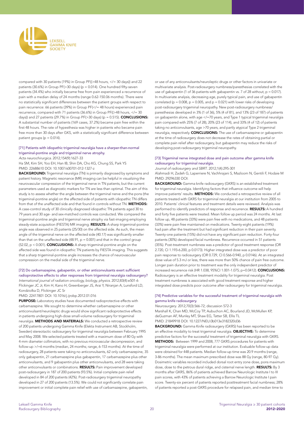

compared with 30 patients (19%) in Group PF((>48 hours, </= 30 days)) and 22 patients (30.6%) in Group PF(>30 days) (p = 0.014). One hundred fifty-seven patients (34.4%) who initially became free from pain experienced a recurrence of pain with a median delay of 24 months (range 0.62-150.06 months). There were no statistically significant differences between the patient groups with respect to pain recurrence: 66 patients (39%) in Group PF(</= 48 hours) experienced pain recurrence, compared with 71 patients (36.6%) in Group PF((>48 hours, </= 30 days)) and 27 patients (29.7%) in Group  $PF(>30 \text{ days})$  (p = 0.515). **CONCLUSIONS:** A substantial number of patients (169 cases, 37.2%) became pain free within the first 48 hours. The rate of hypesthesia was higher in patients who became pain free more than 30 days after GKS, with a statistically significant difference between patient groups ( $p = 0.014$ ).

#### [71] Patients with idiopathic trigeminal neuralgia have a sharper-than-normal trigeminal-pontine angle and trigeminal nerve atrophy.

Acta neurochirurgica. 2012;154(9):1627-33

Ha SM, Kim SH, Yoo EH, Han IB, Shin DA, Cho KG, Chung SS, Park YS PMID: 22688610 DOI: 10.1007/s00701-012-1327-z

BACKGROUND: Trigeminal neuralgia (TN) is primarily diagnosed by symptoms and patient history. Magnetic resonance (MR) imaging can be helpful in visualizing the neurovascular compression of the trigeminal nerve in TN patients, but the current parameters used as diagnostic markers for TN are less than optimal. The aim of this study is to assess whether the angle between the trigeminal nerve and the pons (the trigeminal-pontine angle) on the affected side of patients with idiopathic TN differs from that of the unaffected side and that found in controls without TN. **METHODS:** A case-control study of 30 clinically diagnosed idiopathic TN patients aged 30 to 79 years and 30 age- and sex-matched controls was conducted. We compared the trigeminal-pontine angle and trigeminal nerve atrophy via fast-imaging employing steady-state acquisition (FIESTA) MR imaging. RESULTS: A sharp trigeminal-pontine angle was observed in 25 patients (25/30) on the affected side. As such, the mean angle of the trigeminal nerve on the affected side (40.17) was significantly smaller than that on the unaffected side (48.91,  $p = 0.001$ ) and that in the control group (52.02, p < 0.001). CONCLUSIONS: A sharp trigeminal-pontine angle on the affected side was found in idiopathic TN patients by FIESTA imaging. This suggests that a sharp trigeminal-pontine angle increases the chance of neurovascular compression on the medial side of the trigeminal nerve.

#### [72] Do carbamazepine, gabapentin, or other anticonvulsants exert sufficient

radioprotective effects to alter responses from trigeminal neuralgia radiosurgery? International journal of radiation oncology, biology, physics. 2012;83(4):e501-6 Flickinger JC Jr, Kim H, Kano H, Greenberger JS, Arai Y, Niranjan A, Lunsford LD, Kondziolka D, Flickinger JC Sr

PMID: 22417801 DOI: 10.1016/j.ijrobp.2012.01.016

PURPOSE: Laboratory studies have documented radioprotective effects with carbamazepine. We sought to determine whether carbamazepine or other anticonvulsant/neuroleptic drugs would show significant radioprotective effects in patients undergoing high-dose small-volume radiosurgery for trigeminal neuralgia. METHODS AND MATERIALS: We conducted a retrospective review of 200 patients undergoing Gamma Knife (Elekta Instrument AB, Stockholm, Sweden) stereotactic radiosurgery for trigeminal neuralgia between February 1995 and May 2008. We selected patients treated with a maximum dose of 80 Gy with 4-mm diameter collimators, with no previous microvascular decompression, and follow-up >/=6 months (median, 24 months; range, 6-153 months). At the time of radiosurgery, 28 patients were taking no anticonvulsants, 62 only carbamazepine, 35 only gabapentin, 21 carbamazepine plus gabapentin, 17 carbamazepine plus other anticonvulsants, and 9 gabapentin plus other anticonvulsants, and 28 were taking other anticonvulsants or combinations. RESULTS: Pain improvement developed post-radiosurgery in 187 of 200 patients (93.5%). Initial complete pain relief developed in 84 of 200 patients (42%). Post-radiosurgery trigeminal neuropathy developed in 27 of 200 patients (13.5%). We could not significantly correlate pain improvement or initial complete pain relief with use of carbamazepine, gabapentin,

or use of any anticonvulsants/neuroleptic drugs or other factors in univariate or multivariate analysis. Post-radiosurgery numbness/paresthesias correlated with the use of gabapentin (1 of 36 patients with gabapentin vs. 7 of 28 without,  $p = 0.017$ ). In multivariate analysis, decreasing age, purely typical pain, and use of gabapentin correlated ( $p = 0.008$ ,  $p = 0.005$ , and  $p = 0.021$ ) with lower risks of developing post-radiosurgery trigeminal neuropathy. New post-radiosurgery numbness/ paresthesias developed in 3% (1 of 36), 5% (4 of 81), and 13% (23 of 187) of patients on gabapentin alone, with age </=70 years, and Type 1 typical trigeminal neuralgia pain compared with 25% (7 of 28), 20% (23 of 114), and 33% (4 of 12) of patients taking no anticonvulsants, age >70 years, and partly atypical Type 2 trigeminal neuralgia, respectively. **CONCLUSIONS:** The use of carbamazepine or gabapentin at the time of radiosurgery does not decrease the rates of obtaining partial or complete pain relief after radiosurgery, but gabapentin may reduce the risks of developing post-radiosurgery trigeminal neuropathy.

#### [73] Trigeminal nerve integrated dose and pain outcome after gamma knife radiosurgery for trigeminal neuralgia.

#### *Journal of radiosurgery and SBRT*. 2012;1(4):295-301

Alahmadi H, Zadeh G, Laperriere N, Vachhrajani S, Mazloom N, Gentili F, Hodaie M PMID: 29296330 DOI:

BACKGROUND: Gamma knife radiosurgery (GKRS) is an established treatment for trigeminal neuralgia. Identifying factors that influence outcome will help improve patients' results. METHODS: We conducted a retrospective review of all patients treated with GKRS for trigeminal neuralgia at our institution from 2005 to 2010. Patients' clinical features and treatment details were reviewed. Analysis was performed to identify predictors of response and recurrence. **RESULTS:** A hundred and forty five patients were treated. Mean follow up period was 24 months. At last follow up, 48 patients (33%) were pain free with no medications, and 48 patients (33%) were pain free maintained on medications. Twenty-eight patients (19%) had pain after the treatment but had significant reduction in their pain severity. Twenty-one patients (15%) did not have any significant pain reduction. Forty-four patients (30%) developed facial numbness. Recurrence occurred in 51 patients (35%). Post-treatment numbness was a predictor of good treatment response (OR 2.720, CI 1.193-6.200, p 0.0173). Higher integrated dose was a predictor of poor pain response to radiosurgery (OR 0.729, CI 0.566-0.940, p 0.0146). At an integrated dose value of 5.3 mJ or less, there was more than 50% chance of pain free outcome. Longer pain duration prior to treatment was the only independent predictor of increased recurrence risk (HR 1.038, 95%CI 1.001-1.075; p=0.0412). CONCLUSIONS: Radiosurgery is an effective treatment modality for trigeminal neuralgia. Post treatment numbness is associated with good treatment response and higher integrated dose predicts poor outcome after radiosurgery for trigeminal neuralgia.

#### [74] Predictive variables for the successful treatment of trigeminal neuralgia with gamma knife radiosurgery.

*Neurosurgery*. 2012;70(3):566-72; discussion 572-3 Marshall K, Chan MD, McCoy TP, Aubuchon AC, Bourland JD, McMullen KP, deGuzman AF, Munley MT, Shaw EG, Tatter SB, Ellis TL PMID: 21849918 DOI: 10.1227/NEU.0b013e3182320d36

**BACKGROUND:** Gamma Knife radiosurgery (GKRS) has been reported to be an effective modality to treat trigeminal neuralgia. **OBJECTIVE:** To determine predictive factors for the successful treatment of trigeminal neuralgia with GKRS. METHODS: Between 1999 and 2008, 777 GKRS procedures for patients with trigeminal neuralgia were performed at our institution. Evaluable follow-up data were obtained for 448 patients. Median follow-up time was 20.9 months (range, 3-86 months). The mean maximum prescribed dose was 88 Gy (range, 80-97 Gy). Dosimetric variables recorded included dorsal root entry zone dose, pons maximum dose, dose to the petrous dural ridge, and cisternal nerve length. RESULTS: By 3 months after GKRS, 86% of patients achieved Barrow Neurologic Institute I to III pain scores, with 43% of patients achieving a Barrow Neurologic Institute I pain score. Twenty-six percent of patients reported posttreatment facial numbness; 28% of patients reported a post-GKRS procedure for relapsed pain, and median time to